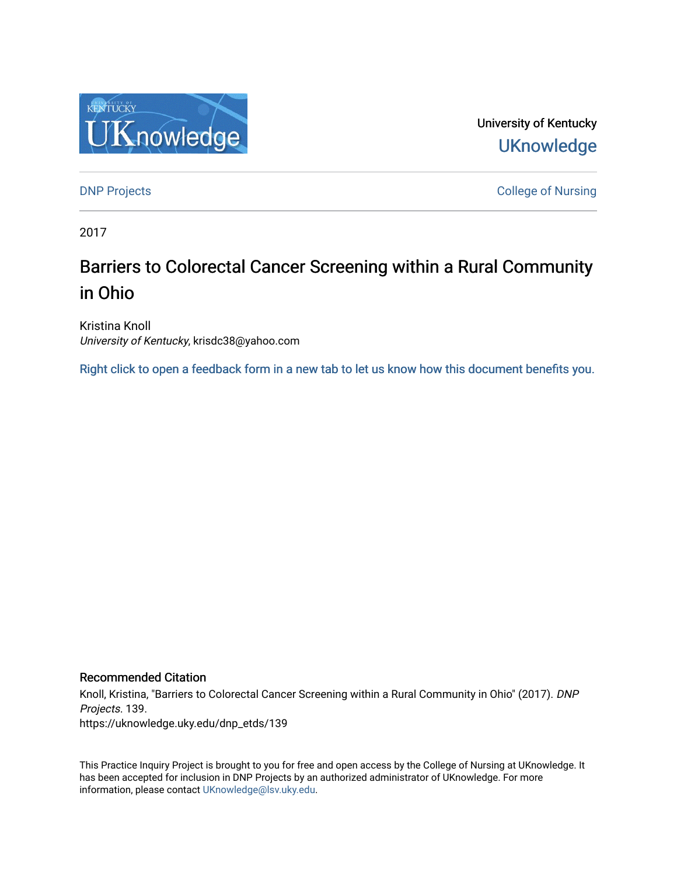

University of Kentucky **UKnowledge** 

[DNP Projects](https://uknowledge.uky.edu/dnp_etds) **College of Nursing** 

2017

# Barriers to Colorectal Cancer Screening within a Rural Community in Ohio

Kristina Knoll University of Kentucky, krisdc38@yahoo.com

[Right click to open a feedback form in a new tab to let us know how this document benefits you.](https://uky.az1.qualtrics.com/jfe/form/SV_9mq8fx2GnONRfz7)

#### Recommended Citation

Knoll, Kristina, "Barriers to Colorectal Cancer Screening within a Rural Community in Ohio" (2017). DNP Projects. 139. https://uknowledge.uky.edu/dnp\_etds/139

This Practice Inquiry Project is brought to you for free and open access by the College of Nursing at UKnowledge. It has been accepted for inclusion in DNP Projects by an authorized administrator of UKnowledge. For more information, please contact [UKnowledge@lsv.uky.edu](mailto:UKnowledge@lsv.uky.edu).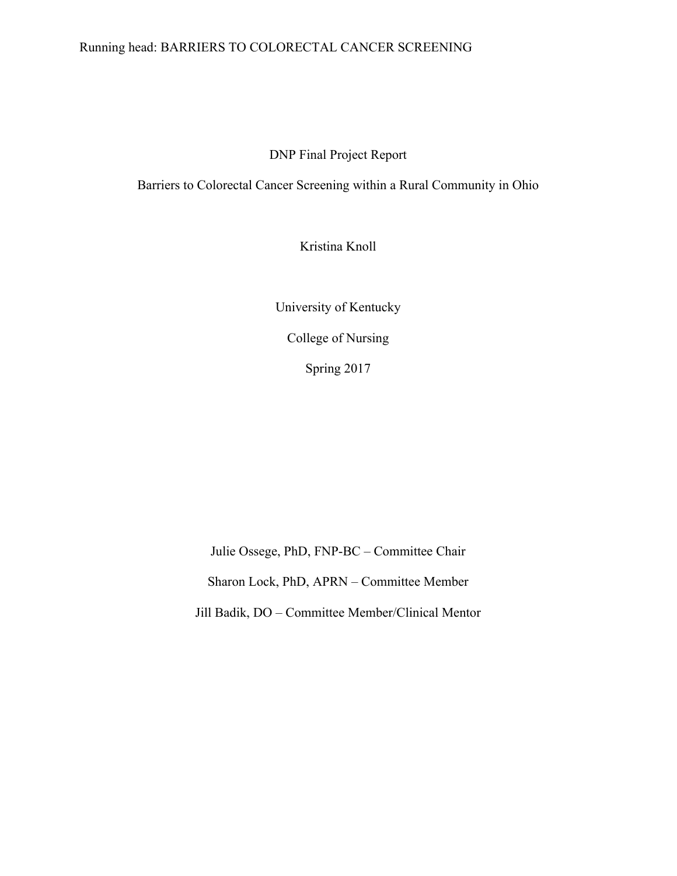## Running head: BARRIERS TO COLORECTAL CANCER SCREENING

DNP Final Project Report

Barriers to Colorectal Cancer Screening within a Rural Community in Ohio

Kristina Knoll

University of Kentucky College of Nursing Spring 2017

Julie Ossege, PhD, FNP-BC – Committee Chair Sharon Lock, PhD, APRN – Committee Member Jill Badik, DO – Committee Member/Clinical Mentor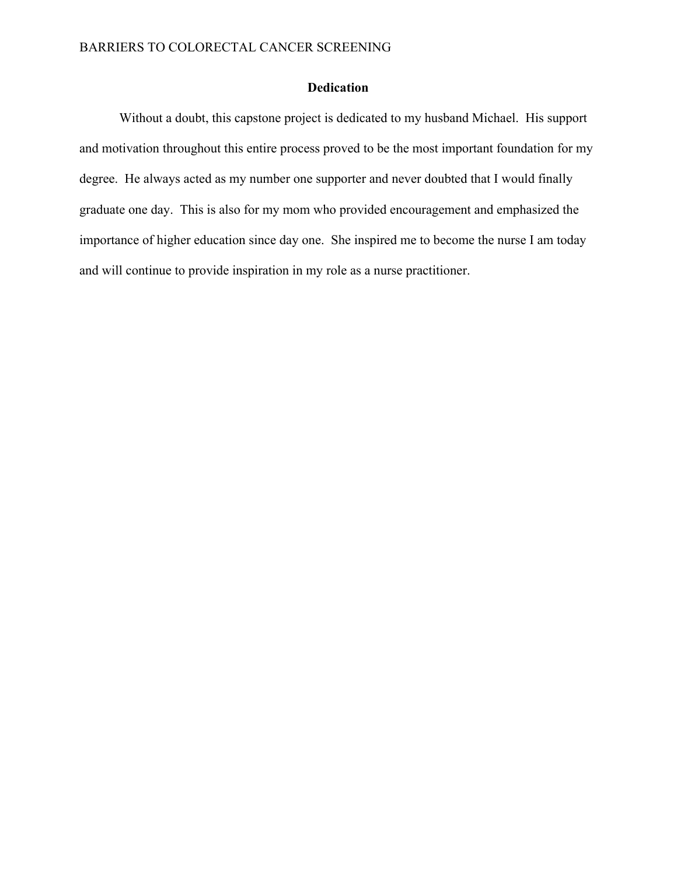## **Dedication**

Without a doubt, this capstone project is dedicated to my husband Michael. His support and motivation throughout this entire process proved to be the most important foundation for my degree. He always acted as my number one supporter and never doubted that I would finally graduate one day. This is also for my mom who provided encouragement and emphasized the importance of higher education since day one. She inspired me to become the nurse I am today and will continue to provide inspiration in my role as a nurse practitioner.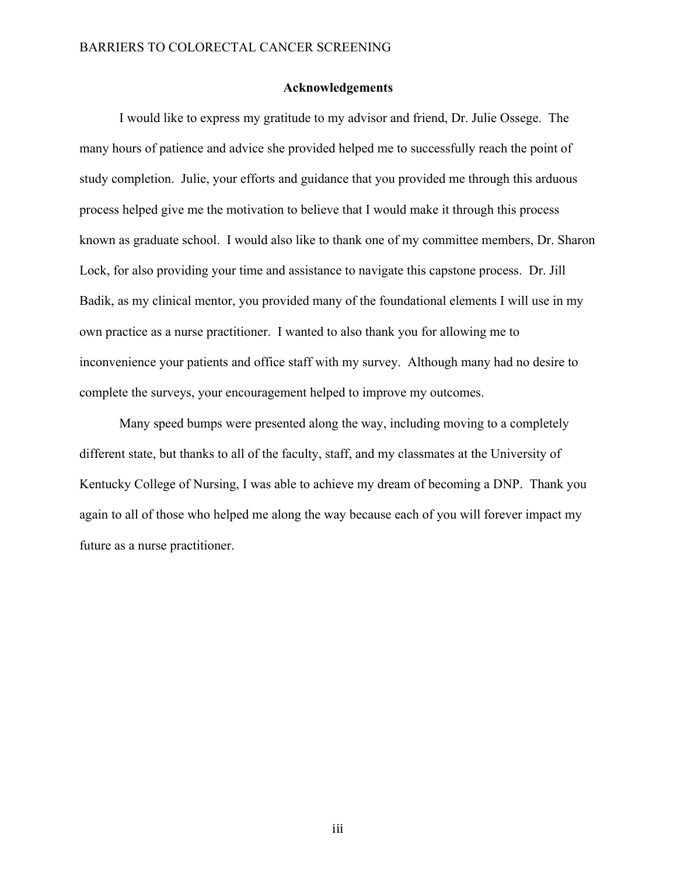#### **Acknowledgements**

I would like to express my gratitude to my advisor and friend, Dr. Julie Ossege. The many hours of patience and advice she provided helped me to successfully reach the point of study completion. Julie, your efforts and guidance that you provided me through this arduous process helped give me the motivation to believe that I would make it through this process known as graduate school. I would also like to thank one of my committee members, Dr. Sharon Lock, for also providing your time and assistance to navigate this capstone process. Dr. Jill Badik, as my clinical mentor, you provided many of the foundational elements I will use in my own practice as a nurse practitioner. I wanted to also thank you for allowing me to inconvenience your patients and office staff with my survey. Although many had no desire to complete the surveys, your encouragement helped to improve my outcomes.

Many speed bumps were presented along the way, including moving to a completely different state, but thanks to all of the faculty, staff, and my classmates at the University of Kentucky College of Nursing, I was able to achieve my dream of becoming a DNP. Thank you again to all of those who helped me along the way because each of you will forever impact my future as a nurse practitioner.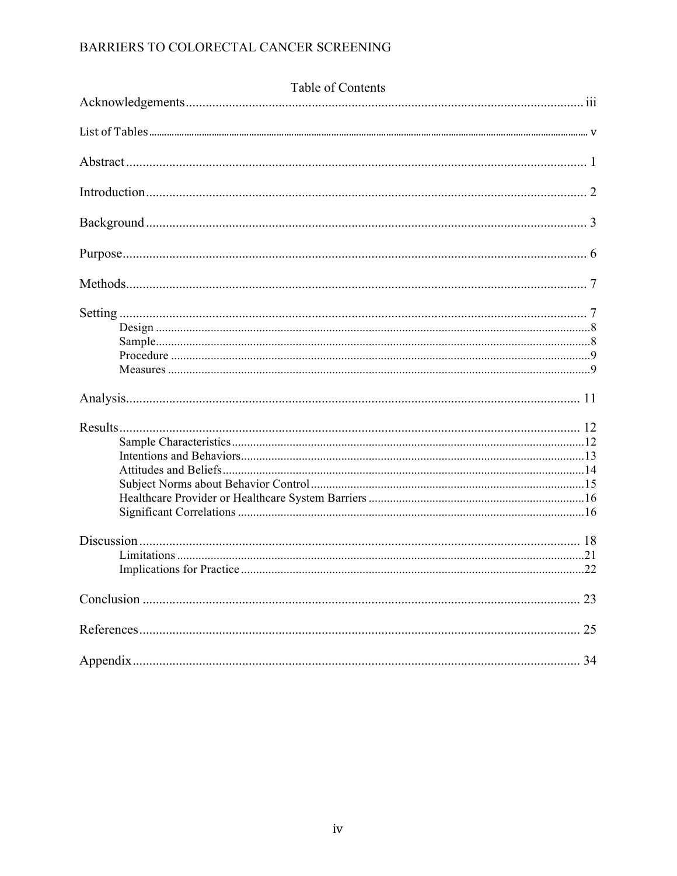| Table of Contents |    |  |  |  |
|-------------------|----|--|--|--|
|                   |    |  |  |  |
|                   |    |  |  |  |
|                   |    |  |  |  |
|                   |    |  |  |  |
|                   |    |  |  |  |
|                   |    |  |  |  |
|                   |    |  |  |  |
|                   |    |  |  |  |
|                   |    |  |  |  |
|                   |    |  |  |  |
|                   |    |  |  |  |
|                   |    |  |  |  |
|                   |    |  |  |  |
|                   |    |  |  |  |
|                   |    |  |  |  |
|                   |    |  |  |  |
|                   |    |  |  |  |
|                   |    |  |  |  |
|                   |    |  |  |  |
|                   | 23 |  |  |  |
|                   | 25 |  |  |  |
|                   | 34 |  |  |  |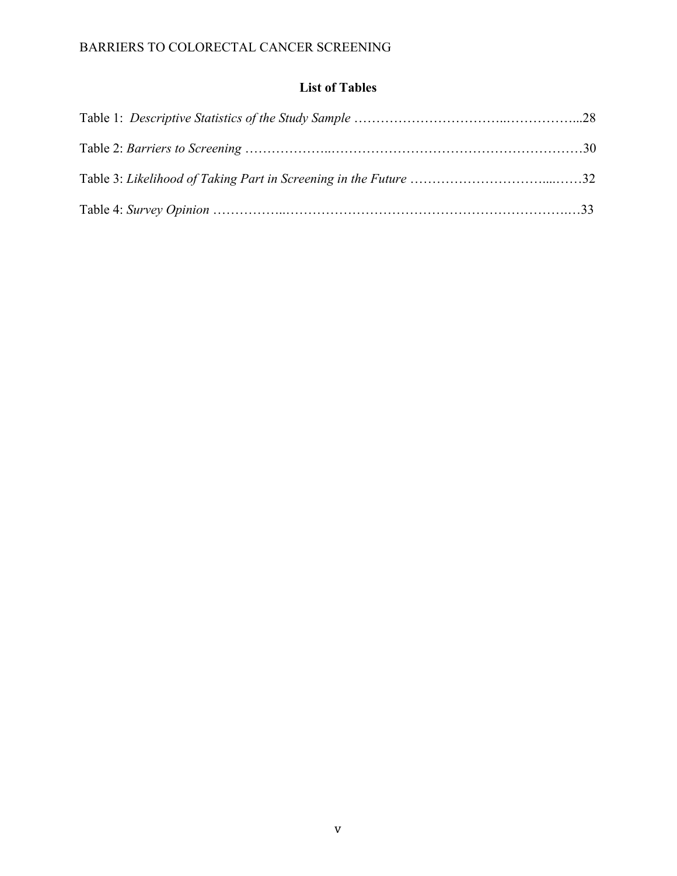## **List of Tables**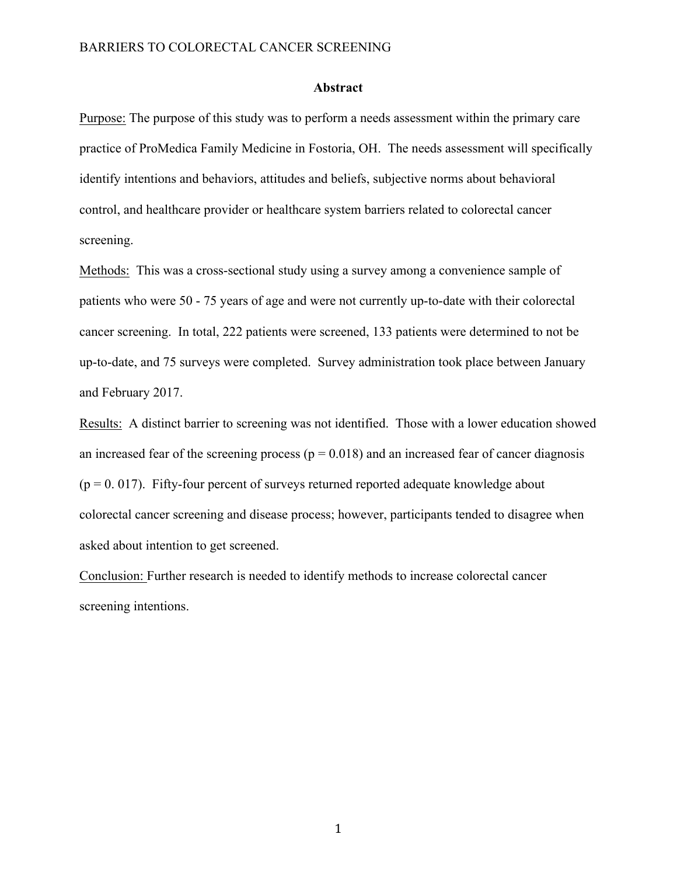#### **Abstract**

Purpose: The purpose of this study was to perform a needs assessment within the primary care practice of ProMedica Family Medicine in Fostoria, OH. The needs assessment will specifically identify intentions and behaviors, attitudes and beliefs, subjective norms about behavioral control, and healthcare provider or healthcare system barriers related to colorectal cancer screening.

Methods: This was a cross-sectional study using a survey among a convenience sample of patients who were 50 - 75 years of age and were not currently up-to-date with their colorectal cancer screening. In total, 222 patients were screened, 133 patients were determined to not be up-to-date, and 75 surveys were completed. Survey administration took place between January and February 2017.

Results: A distinct barrier to screening was not identified. Those with a lower education showed an increased fear of the screening process ( $p = 0.018$ ) and an increased fear of cancer diagnosis  $(p = 0.017)$ . Fifty-four percent of surveys returned reported adequate knowledge about colorectal cancer screening and disease process; however, participants tended to disagree when asked about intention to get screened.

Conclusion: Further research is needed to identify methods to increase colorectal cancer screening intentions.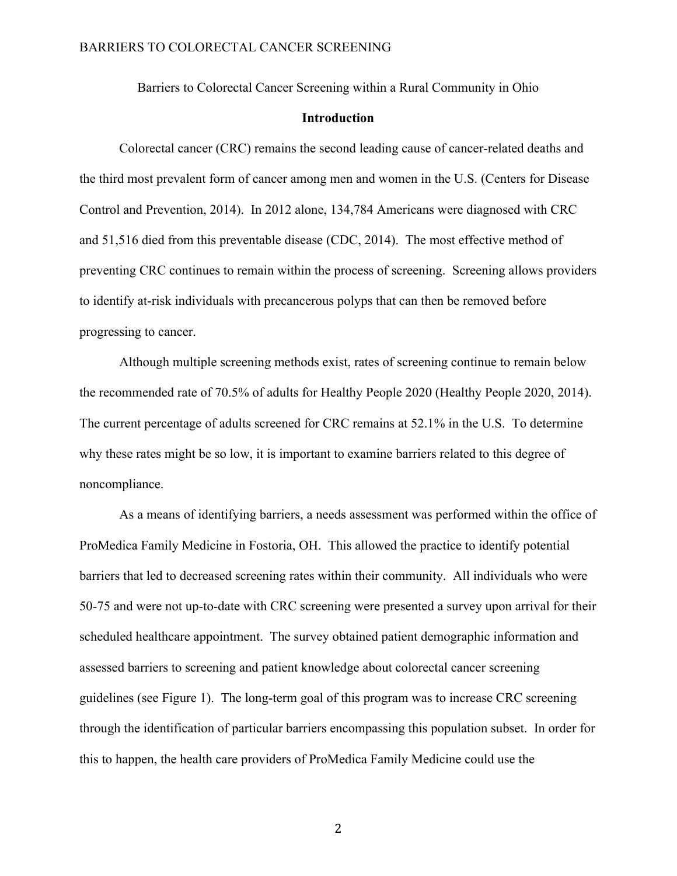Barriers to Colorectal Cancer Screening within a Rural Community in Ohio

### **Introduction**

Colorectal cancer (CRC) remains the second leading cause of cancer-related deaths and the third most prevalent form of cancer among men and women in the U.S. (Centers for Disease Control and Prevention, 2014). In 2012 alone, 134,784 Americans were diagnosed with CRC and 51,516 died from this preventable disease (CDC, 2014). The most effective method of preventing CRC continues to remain within the process of screening. Screening allows providers to identify at-risk individuals with precancerous polyps that can then be removed before progressing to cancer.

Although multiple screening methods exist, rates of screening continue to remain below the recommended rate of 70.5% of adults for Healthy People 2020 (Healthy People 2020, 2014). The current percentage of adults screened for CRC remains at 52.1% in the U.S. To determine why these rates might be so low, it is important to examine barriers related to this degree of noncompliance.

As a means of identifying barriers, a needs assessment was performed within the office of ProMedica Family Medicine in Fostoria, OH. This allowed the practice to identify potential barriers that led to decreased screening rates within their community. All individuals who were 50-75 and were not up-to-date with CRC screening were presented a survey upon arrival for their scheduled healthcare appointment. The survey obtained patient demographic information and assessed barriers to screening and patient knowledge about colorectal cancer screening guidelines (see Figure 1). The long-term goal of this program was to increase CRC screening through the identification of particular barriers encompassing this population subset. In order for this to happen, the health care providers of ProMedica Family Medicine could use the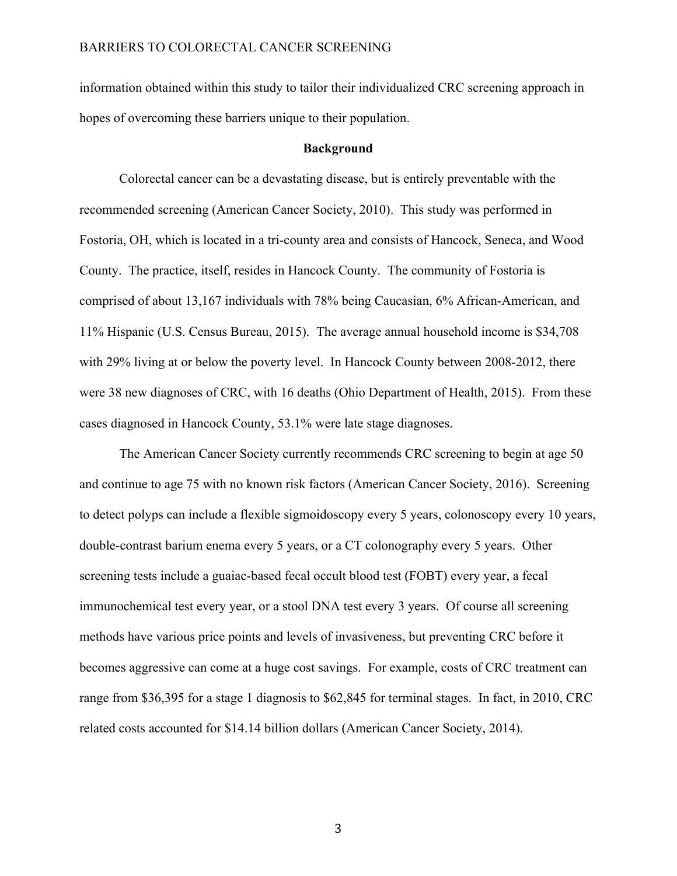information obtained within this study to tailor their individualized CRC screening approach in hopes of overcoming these barriers unique to their population.

#### **Background**

Colorectal cancer can be a devastating disease, but is entirely preventable with the recommended screening (American Cancer Society, 2010). This study was performed in Fostoria, OH, which is located in a tri-county area and consists of Hancock, Seneca, and Wood County. The practice, itself, resides in Hancock County. The community of Fostoria is comprised of about 13,167 individuals with 78% being Caucasian, 6% African-American, and 11% Hispanic (U.S. Census Bureau, 2015). The average annual household income is \$34,708 with 29% living at or below the poverty level. In Hancock County between 2008-2012, there were 38 new diagnoses of CRC, with 16 deaths (Ohio Department of Health, 2015). From these cases diagnosed in Hancock County, 53.1% were late stage diagnoses.

The American Cancer Society currently recommends CRC screening to begin at age 50 and continue to age 75 with no known risk factors (American Cancer Society, 2016). Screening to detect polyps can include a flexible sigmoidoscopy every 5 years, colonoscopy every 10 years, double-contrast barium enema every 5 years, or a CT colonography every 5 years. Other screening tests include a guaiac-based fecal occult blood test (FOBT) every year, a fecal immunochemical test every year, or a stool DNA test every 3 years. Of course all screening methods have various price points and levels of invasiveness, but preventing CRC before it becomes aggressive can come at a huge cost savings. For example, costs of CRC treatment can range from \$36,395 for a stage 1 diagnosis to \$62,845 for terminal stages. In fact, in 2010, CRC related costs accounted for \$14.14 billion dollars (American Cancer Society, 2014).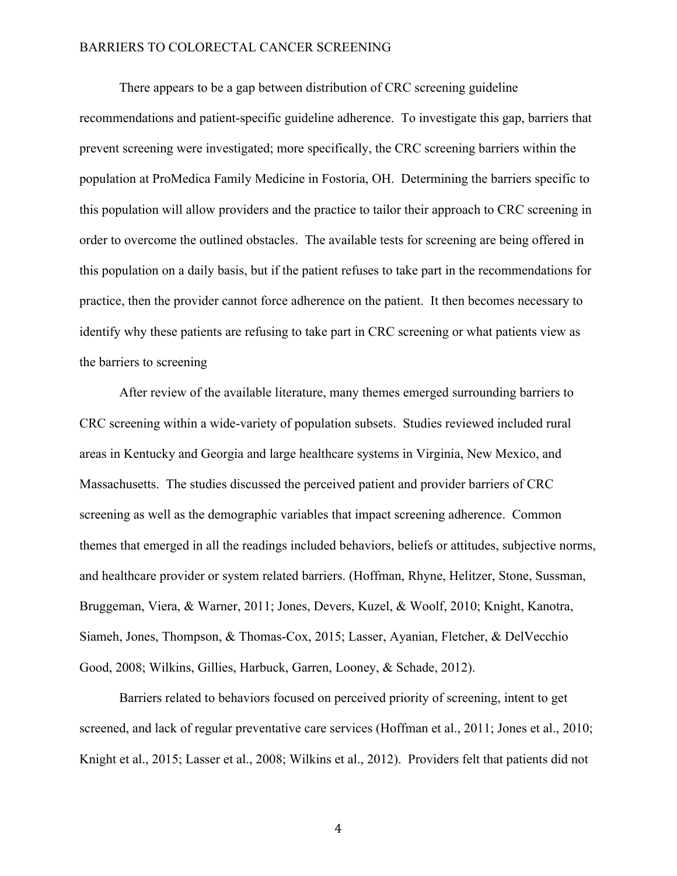There appears to be a gap between distribution of CRC screening guideline recommendations and patient-specific guideline adherence. To investigate this gap, barriers that prevent screening were investigated; more specifically, the CRC screening barriers within the population at ProMedica Family Medicine in Fostoria, OH. Determining the barriers specific to this population will allow providers and the practice to tailor their approach to CRC screening in order to overcome the outlined obstacles. The available tests for screening are being offered in this population on a daily basis, but if the patient refuses to take part in the recommendations for practice, then the provider cannot force adherence on the patient. It then becomes necessary to identify why these patients are refusing to take part in CRC screening or what patients view as the barriers to screening

After review of the available literature, many themes emerged surrounding barriers to CRC screening within a wide-variety of population subsets. Studies reviewed included rural areas in Kentucky and Georgia and large healthcare systems in Virginia, New Mexico, and Massachusetts. The studies discussed the perceived patient and provider barriers of CRC screening as well as the demographic variables that impact screening adherence. Common themes that emerged in all the readings included behaviors, beliefs or attitudes, subjective norms, and healthcare provider or system related barriers. (Hoffman, Rhyne, Helitzer, Stone, Sussman, Bruggeman, Viera, & Warner, 2011; Jones, Devers, Kuzel, & Woolf, 2010; Knight, Kanotra, Siameh, Jones, Thompson, & Thomas-Cox, 2015; Lasser, Ayanian, Fletcher, & DelVecchio Good, 2008; Wilkins, Gillies, Harbuck, Garren, Looney, & Schade, 2012).

Barriers related to behaviors focused on perceived priority of screening, intent to get screened, and lack of regular preventative care services (Hoffman et al., 2011; Jones et al., 2010; Knight et al., 2015; Lasser et al., 2008; Wilkins et al., 2012). Providers felt that patients did not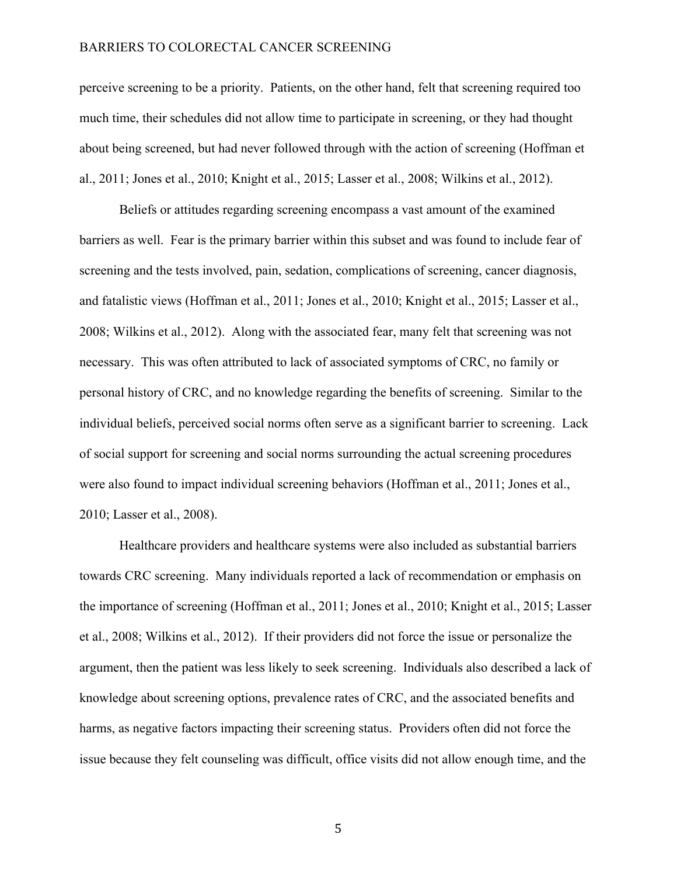perceive screening to be a priority. Patients, on the other hand, felt that screening required too much time, their schedules did not allow time to participate in screening, or they had thought about being screened, but had never followed through with the action of screening (Hoffman et al., 2011; Jones et al., 2010; Knight et al., 2015; Lasser et al., 2008; Wilkins et al., 2012).

Beliefs or attitudes regarding screening encompass a vast amount of the examined barriers as well. Fear is the primary barrier within this subset and was found to include fear of screening and the tests involved, pain, sedation, complications of screening, cancer diagnosis, and fatalistic views (Hoffman et al., 2011; Jones et al., 2010; Knight et al., 2015; Lasser et al., 2008; Wilkins et al., 2012). Along with the associated fear, many felt that screening was not necessary. This was often attributed to lack of associated symptoms of CRC, no family or personal history of CRC, and no knowledge regarding the benefits of screening. Similar to the individual beliefs, perceived social norms often serve as a significant barrier to screening. Lack of social support for screening and social norms surrounding the actual screening procedures were also found to impact individual screening behaviors (Hoffman et al., 2011; Jones et al., 2010; Lasser et al., 2008).

Healthcare providers and healthcare systems were also included as substantial barriers towards CRC screening. Many individuals reported a lack of recommendation or emphasis on the importance of screening (Hoffman et al., 2011; Jones et al., 2010; Knight et al., 2015; Lasser et al., 2008; Wilkins et al., 2012). If their providers did not force the issue or personalize the argument, then the patient was less likely to seek screening. Individuals also described a lack of knowledge about screening options, prevalence rates of CRC, and the associated benefits and harms, as negative factors impacting their screening status. Providers often did not force the issue because they felt counseling was difficult, office visits did not allow enough time, and the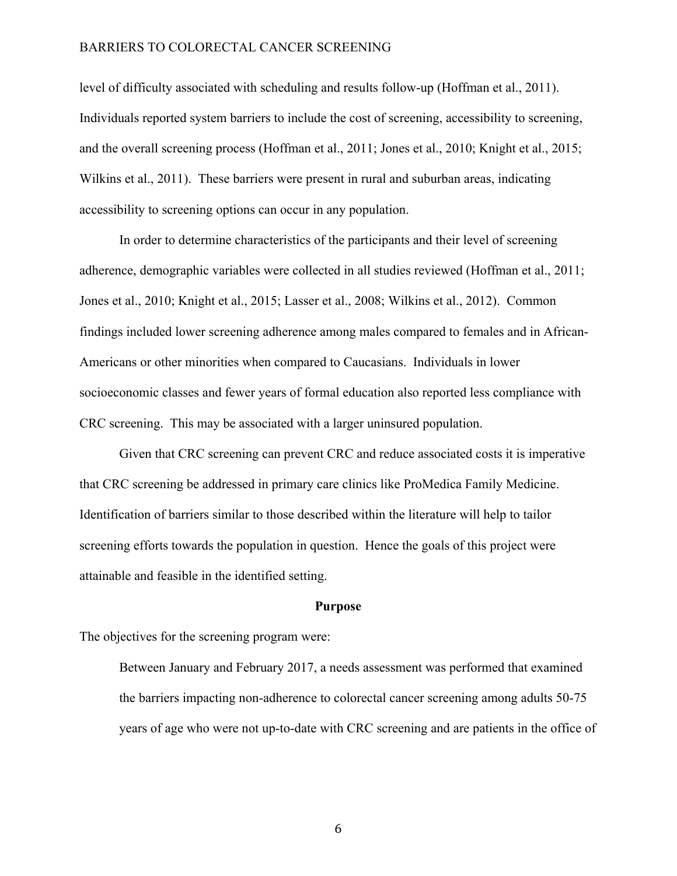level of difficulty associated with scheduling and results follow-up (Hoffman et al., 2011). Individuals reported system barriers to include the cost of screening, accessibility to screening, and the overall screening process (Hoffman et al., 2011; Jones et al., 2010; Knight et al., 2015; Wilkins et al., 2011). These barriers were present in rural and suburban areas, indicating accessibility to screening options can occur in any population.

In order to determine characteristics of the participants and their level of screening adherence, demographic variables were collected in all studies reviewed (Hoffman et al., 2011; Jones et al., 2010; Knight et al., 2015; Lasser et al., 2008; Wilkins et al., 2012). Common findings included lower screening adherence among males compared to females and in African-Americans or other minorities when compared to Caucasians. Individuals in lower socioeconomic classes and fewer years of formal education also reported less compliance with CRC screening. This may be associated with a larger uninsured population.

Given that CRC screening can prevent CRC and reduce associated costs it is imperative that CRC screening be addressed in primary care clinics like ProMedica Family Medicine. Identification of barriers similar to those described within the literature will help to tailor screening efforts towards the population in question. Hence the goals of this project were attainable and feasible in the identified setting.

#### **Purpose**

The objectives for the screening program were:

Between January and February 2017, a needs assessment was performed that examined the barriers impacting non-adherence to colorectal cancer screening among adults 50-75 years of age who were not up-to-date with CRC screening and are patients in the office of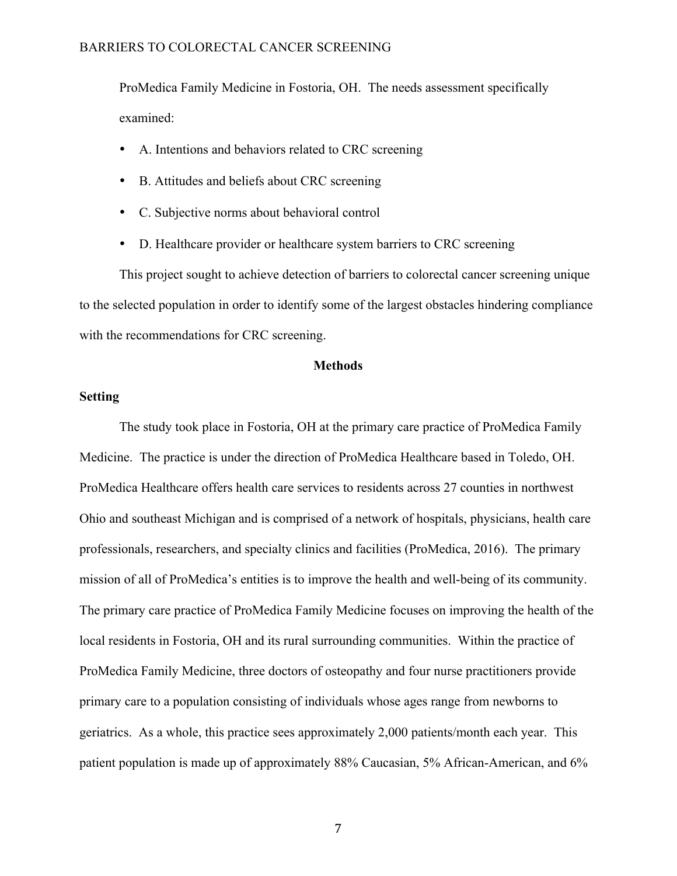ProMedica Family Medicine in Fostoria, OH. The needs assessment specifically examined:

- A. Intentions and behaviors related to CRC screening
- B. Attitudes and beliefs about CRC screening
- C. Subjective norms about behavioral control
- D. Healthcare provider or healthcare system barriers to CRC screening

This project sought to achieve detection of barriers to colorectal cancer screening unique to the selected population in order to identify some of the largest obstacles hindering compliance with the recommendations for CRC screening.

### **Methods**

## **Setting**

The study took place in Fostoria, OH at the primary care practice of ProMedica Family Medicine. The practice is under the direction of ProMedica Healthcare based in Toledo, OH. ProMedica Healthcare offers health care services to residents across 27 counties in northwest Ohio and southeast Michigan and is comprised of a network of hospitals, physicians, health care professionals, researchers, and specialty clinics and facilities (ProMedica, 2016). The primary mission of all of ProMedica's entities is to improve the health and well-being of its community. The primary care practice of ProMedica Family Medicine focuses on improving the health of the local residents in Fostoria, OH and its rural surrounding communities. Within the practice of ProMedica Family Medicine, three doctors of osteopathy and four nurse practitioners provide primary care to a population consisting of individuals whose ages range from newborns to geriatrics. As a whole, this practice sees approximately 2,000 patients/month each year. This patient population is made up of approximately 88% Caucasian, 5% African-American, and 6%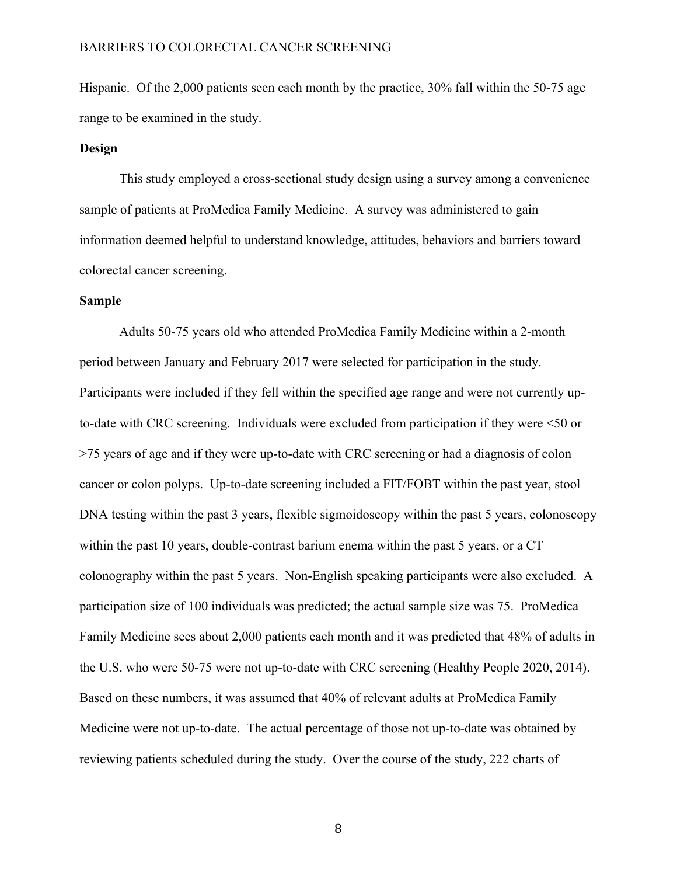Hispanic. Of the 2,000 patients seen each month by the practice, 30% fall within the 50-75 age range to be examined in the study.

### **Design**

This study employed a cross-sectional study design using a survey among a convenience sample of patients at ProMedica Family Medicine. A survey was administered to gain information deemed helpful to understand knowledge, attitudes, behaviors and barriers toward colorectal cancer screening.

#### **Sample**

Adults 50-75 years old who attended ProMedica Family Medicine within a 2-month period between January and February 2017 were selected for participation in the study. Participants were included if they fell within the specified age range and were not currently upto-date with CRC screening. Individuals were excluded from participation if they were <50 or >75 years of age and if they were up-to-date with CRC screening or had a diagnosis of colon cancer or colon polyps. Up-to-date screening included a FIT/FOBT within the past year, stool DNA testing within the past 3 years, flexible sigmoidoscopy within the past 5 years, colonoscopy within the past 10 years, double-contrast barium enema within the past 5 years, or a CT colonography within the past 5 years. Non-English speaking participants were also excluded. A participation size of 100 individuals was predicted; the actual sample size was 75. ProMedica Family Medicine sees about 2,000 patients each month and it was predicted that 48% of adults in the U.S. who were 50-75 were not up-to-date with CRC screening (Healthy People 2020, 2014). Based on these numbers, it was assumed that 40% of relevant adults at ProMedica Family Medicine were not up-to-date. The actual percentage of those not up-to-date was obtained by reviewing patients scheduled during the study. Over the course of the study, 222 charts of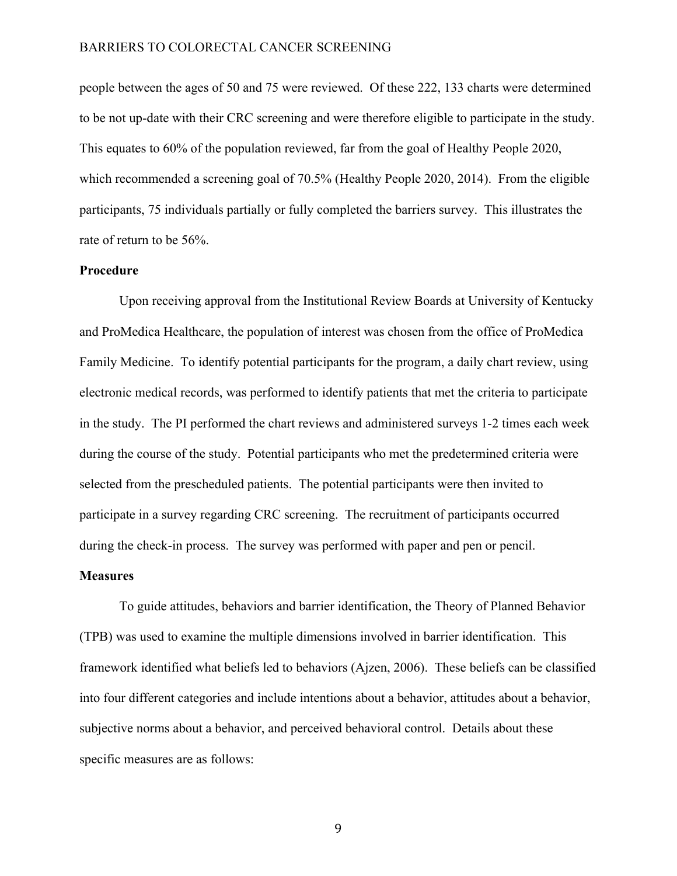people between the ages of 50 and 75 were reviewed. Of these 222, 133 charts were determined to be not up-date with their CRC screening and were therefore eligible to participate in the study. This equates to 60% of the population reviewed, far from the goal of Healthy People 2020, which recommended a screening goal of 70.5% (Healthy People 2020, 2014). From the eligible participants, 75 individuals partially or fully completed the barriers survey. This illustrates the rate of return to be 56%.

### **Procedure**

Upon receiving approval from the Institutional Review Boards at University of Kentucky and ProMedica Healthcare, the population of interest was chosen from the office of ProMedica Family Medicine. To identify potential participants for the program, a daily chart review, using electronic medical records, was performed to identify patients that met the criteria to participate in the study. The PI performed the chart reviews and administered surveys 1-2 times each week during the course of the study. Potential participants who met the predetermined criteria were selected from the prescheduled patients. The potential participants were then invited to participate in a survey regarding CRC screening. The recruitment of participants occurred during the check-in process. The survey was performed with paper and pen or pencil.

#### **Measures**

To guide attitudes, behaviors and barrier identification, the Theory of Planned Behavior (TPB) was used to examine the multiple dimensions involved in barrier identification. This framework identified what beliefs led to behaviors (Ajzen, 2006). These beliefs can be classified into four different categories and include intentions about a behavior, attitudes about a behavior, subjective norms about a behavior, and perceived behavioral control. Details about these specific measures are as follows: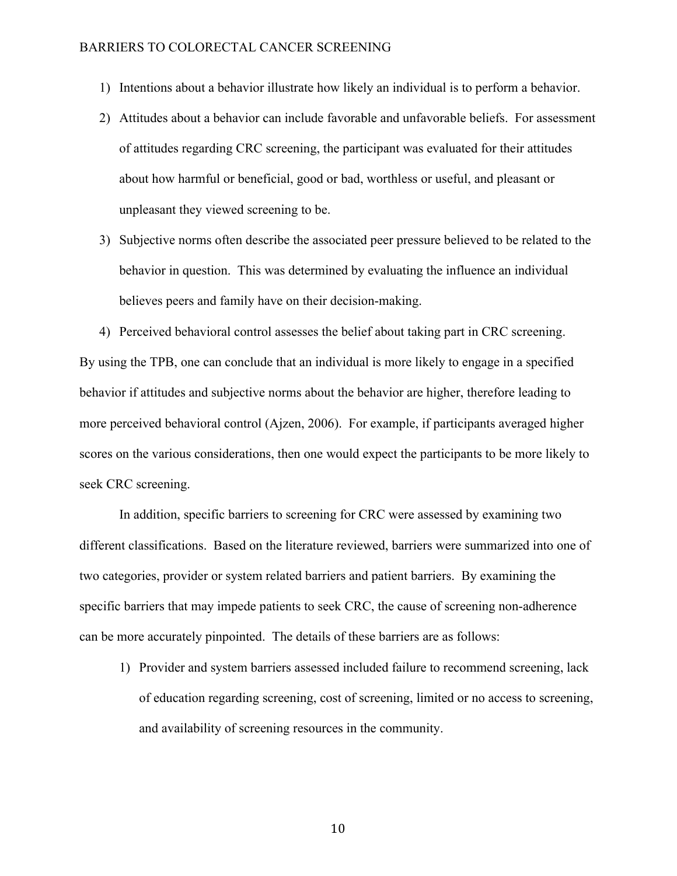- 1) Intentions about a behavior illustrate how likely an individual is to perform a behavior.
- 2) Attitudes about a behavior can include favorable and unfavorable beliefs. For assessment of attitudes regarding CRC screening, the participant was evaluated for their attitudes about how harmful or beneficial, good or bad, worthless or useful, and pleasant or unpleasant they viewed screening to be.
- 3) Subjective norms often describe the associated peer pressure believed to be related to the behavior in question. This was determined by evaluating the influence an individual believes peers and family have on their decision-making.

4) Perceived behavioral control assesses the belief about taking part in CRC screening. By using the TPB, one can conclude that an individual is more likely to engage in a specified behavior if attitudes and subjective norms about the behavior are higher, therefore leading to more perceived behavioral control (Ajzen, 2006). For example, if participants averaged higher scores on the various considerations, then one would expect the participants to be more likely to seek CRC screening.

In addition, specific barriers to screening for CRC were assessed by examining two different classifications. Based on the literature reviewed, barriers were summarized into one of two categories, provider or system related barriers and patient barriers. By examining the specific barriers that may impede patients to seek CRC, the cause of screening non-adherence can be more accurately pinpointed. The details of these barriers are as follows:

1) Provider and system barriers assessed included failure to recommend screening, lack of education regarding screening, cost of screening, limited or no access to screening, and availability of screening resources in the community.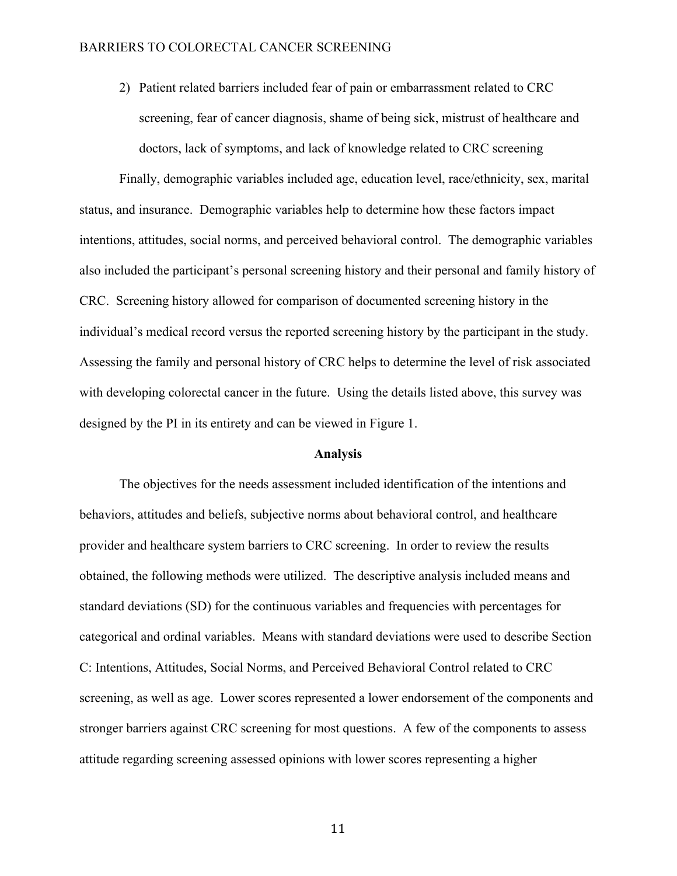2) Patient related barriers included fear of pain or embarrassment related to CRC screening, fear of cancer diagnosis, shame of being sick, mistrust of healthcare and doctors, lack of symptoms, and lack of knowledge related to CRC screening

Finally, demographic variables included age, education level, race/ethnicity, sex, marital status, and insurance. Demographic variables help to determine how these factors impact intentions, attitudes, social norms, and perceived behavioral control. The demographic variables also included the participant's personal screening history and their personal and family history of CRC. Screening history allowed for comparison of documented screening history in the individual's medical record versus the reported screening history by the participant in the study. Assessing the family and personal history of CRC helps to determine the level of risk associated with developing colorectal cancer in the future. Using the details listed above, this survey was designed by the PI in its entirety and can be viewed in Figure 1.

#### **Analysis**

The objectives for the needs assessment included identification of the intentions and behaviors, attitudes and beliefs, subjective norms about behavioral control, and healthcare provider and healthcare system barriers to CRC screening. In order to review the results obtained, the following methods were utilized. The descriptive analysis included means and standard deviations (SD) for the continuous variables and frequencies with percentages for categorical and ordinal variables. Means with standard deviations were used to describe Section C: Intentions, Attitudes, Social Norms, and Perceived Behavioral Control related to CRC screening, as well as age. Lower scores represented a lower endorsement of the components and stronger barriers against CRC screening for most questions. A few of the components to assess attitude regarding screening assessed opinions with lower scores representing a higher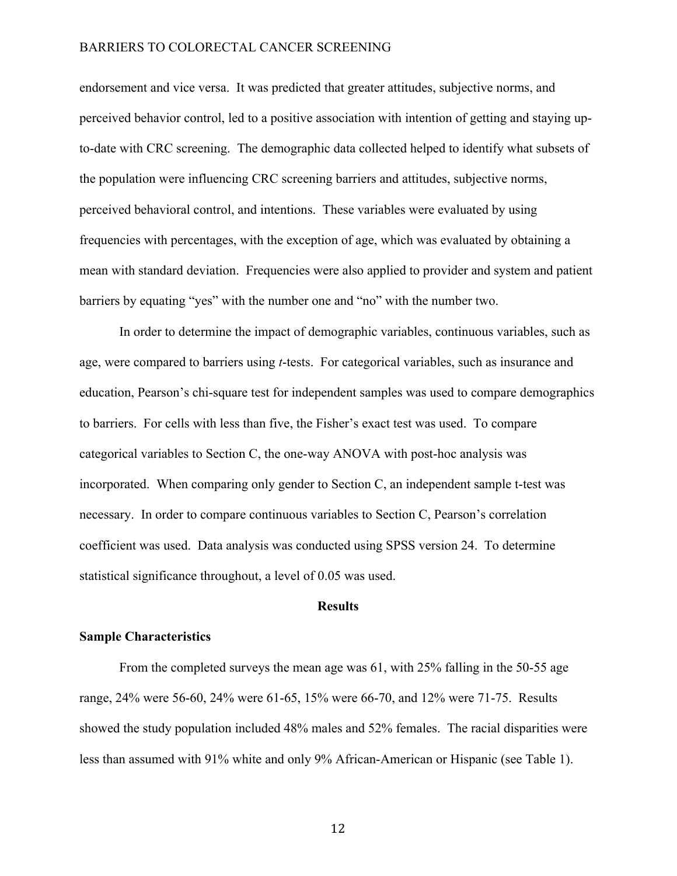endorsement and vice versa. It was predicted that greater attitudes, subjective norms, and perceived behavior control, led to a positive association with intention of getting and staying upto-date with CRC screening. The demographic data collected helped to identify what subsets of the population were influencing CRC screening barriers and attitudes, subjective norms, perceived behavioral control, and intentions. These variables were evaluated by using frequencies with percentages, with the exception of age, which was evaluated by obtaining a mean with standard deviation. Frequencies were also applied to provider and system and patient barriers by equating "yes" with the number one and "no" with the number two.

In order to determine the impact of demographic variables, continuous variables, such as age, were compared to barriers using *t*-tests. For categorical variables, such as insurance and education, Pearson's chi-square test for independent samples was used to compare demographics to barriers. For cells with less than five, the Fisher's exact test was used. To compare categorical variables to Section C, the one-way ANOVA with post-hoc analysis was incorporated. When comparing only gender to Section C, an independent sample t-test was necessary. In order to compare continuous variables to Section C, Pearson's correlation coefficient was used. Data analysis was conducted using SPSS version 24. To determine statistical significance throughout, a level of 0.05 was used.

#### **Results**

#### **Sample Characteristics**

From the completed surveys the mean age was 61, with 25% falling in the 50-55 age range, 24% were 56-60, 24% were 61-65, 15% were 66-70, and 12% were 71-75. Results showed the study population included 48% males and 52% females. The racial disparities were less than assumed with 91% white and only 9% African-American or Hispanic (see Table 1).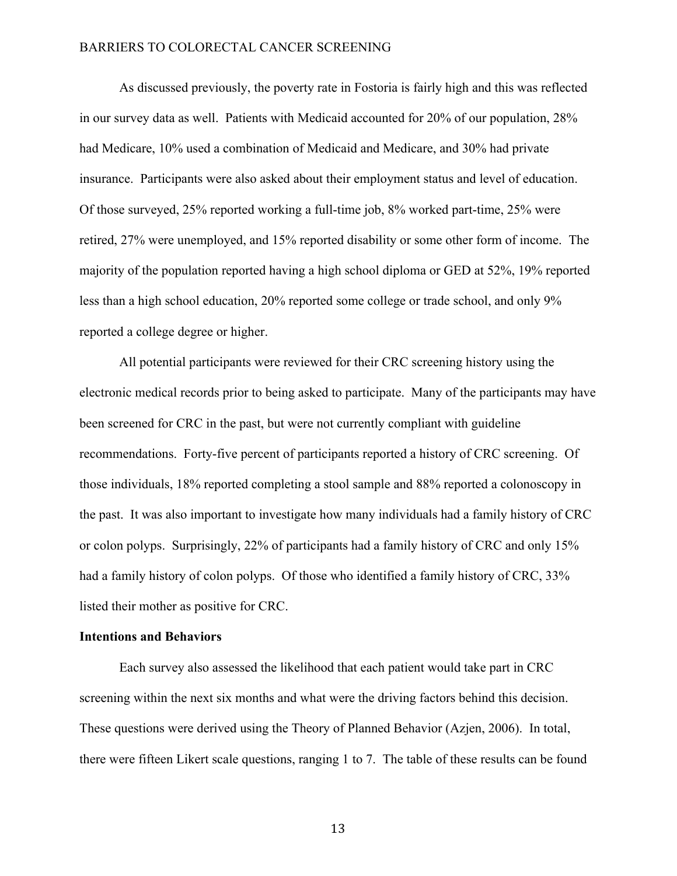As discussed previously, the poverty rate in Fostoria is fairly high and this was reflected in our survey data as well. Patients with Medicaid accounted for 20% of our population, 28% had Medicare, 10% used a combination of Medicaid and Medicare, and 30% had private insurance. Participants were also asked about their employment status and level of education. Of those surveyed, 25% reported working a full-time job, 8% worked part-time, 25% were retired, 27% were unemployed, and 15% reported disability or some other form of income. The majority of the population reported having a high school diploma or GED at 52%, 19% reported less than a high school education, 20% reported some college or trade school, and only 9% reported a college degree or higher.

All potential participants were reviewed for their CRC screening history using the electronic medical records prior to being asked to participate. Many of the participants may have been screened for CRC in the past, but were not currently compliant with guideline recommendations. Forty-five percent of participants reported a history of CRC screening. Of those individuals, 18% reported completing a stool sample and 88% reported a colonoscopy in the past. It was also important to investigate how many individuals had a family history of CRC or colon polyps. Surprisingly, 22% of participants had a family history of CRC and only 15% had a family history of colon polyps. Of those who identified a family history of CRC, 33% listed their mother as positive for CRC.

#### **Intentions and Behaviors**

Each survey also assessed the likelihood that each patient would take part in CRC screening within the next six months and what were the driving factors behind this decision. These questions were derived using the Theory of Planned Behavior (Azjen, 2006). In total, there were fifteen Likert scale questions, ranging 1 to 7. The table of these results can be found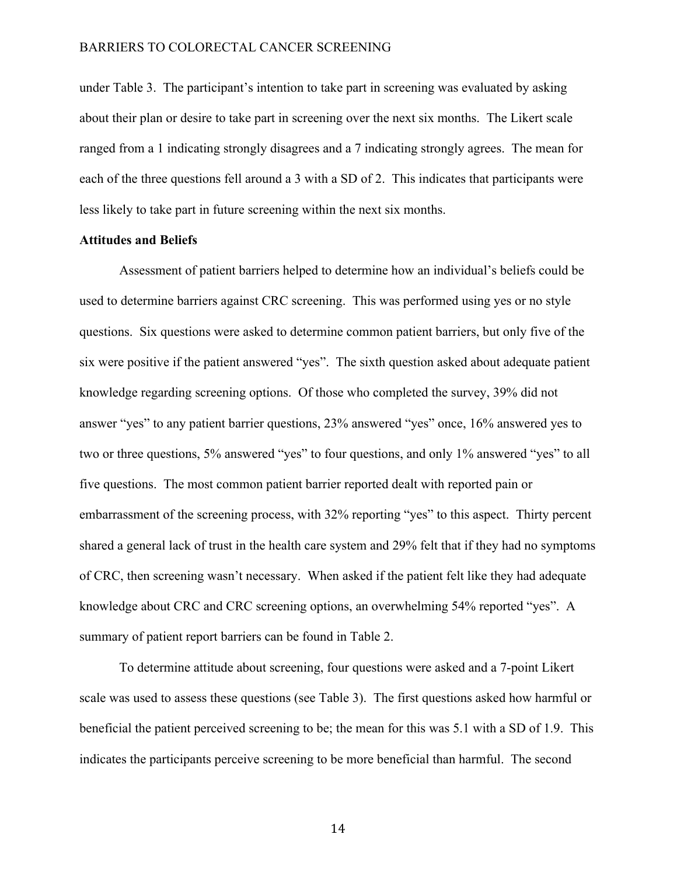under Table 3. The participant's intention to take part in screening was evaluated by asking about their plan or desire to take part in screening over the next six months. The Likert scale ranged from a 1 indicating strongly disagrees and a 7 indicating strongly agrees. The mean for each of the three questions fell around a 3 with a SD of 2. This indicates that participants were less likely to take part in future screening within the next six months.

#### **Attitudes and Beliefs**

Assessment of patient barriers helped to determine how an individual's beliefs could be used to determine barriers against CRC screening. This was performed using yes or no style questions. Six questions were asked to determine common patient barriers, but only five of the six were positive if the patient answered "yes". The sixth question asked about adequate patient knowledge regarding screening options. Of those who completed the survey, 39% did not answer "yes" to any patient barrier questions, 23% answered "yes" once, 16% answered yes to two or three questions, 5% answered "yes" to four questions, and only 1% answered "yes" to all five questions. The most common patient barrier reported dealt with reported pain or embarrassment of the screening process, with 32% reporting "yes" to this aspect. Thirty percent shared a general lack of trust in the health care system and 29% felt that if they had no symptoms of CRC, then screening wasn't necessary. When asked if the patient felt like they had adequate knowledge about CRC and CRC screening options, an overwhelming 54% reported "yes". A summary of patient report barriers can be found in Table 2.

To determine attitude about screening, four questions were asked and a 7-point Likert scale was used to assess these questions (see Table 3). The first questions asked how harmful or beneficial the patient perceived screening to be; the mean for this was 5.1 with a SD of 1.9. This indicates the participants perceive screening to be more beneficial than harmful. The second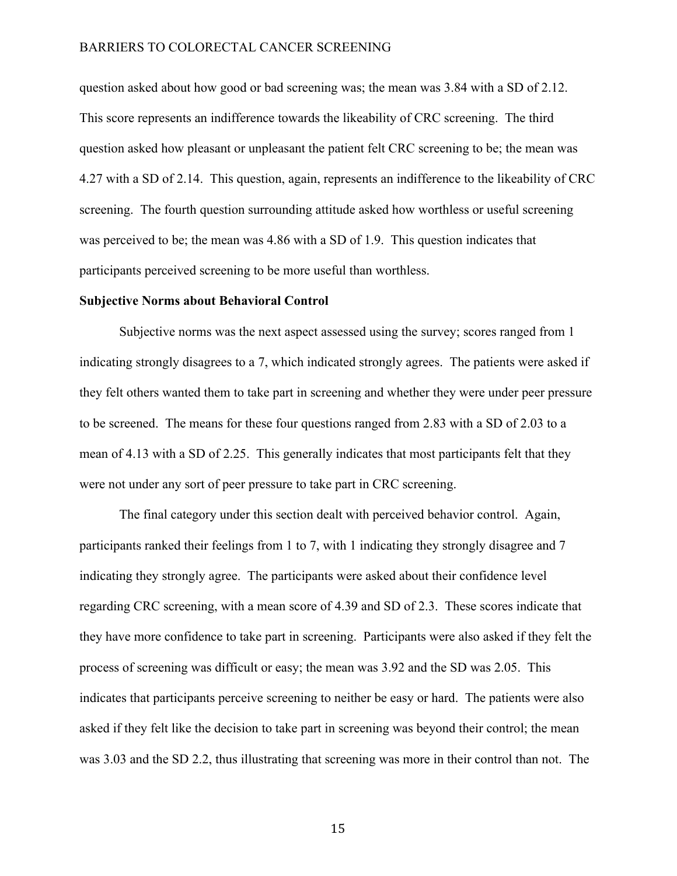question asked about how good or bad screening was; the mean was 3.84 with a SD of 2.12. This score represents an indifference towards the likeability of CRC screening. The third question asked how pleasant or unpleasant the patient felt CRC screening to be; the mean was 4.27 with a SD of 2.14. This question, again, represents an indifference to the likeability of CRC screening. The fourth question surrounding attitude asked how worthless or useful screening was perceived to be; the mean was 4.86 with a SD of 1.9. This question indicates that participants perceived screening to be more useful than worthless.

#### **Subjective Norms about Behavioral Control**

Subjective norms was the next aspect assessed using the survey; scores ranged from 1 indicating strongly disagrees to a 7, which indicated strongly agrees. The patients were asked if they felt others wanted them to take part in screening and whether they were under peer pressure to be screened. The means for these four questions ranged from 2.83 with a SD of 2.03 to a mean of 4.13 with a SD of 2.25. This generally indicates that most participants felt that they were not under any sort of peer pressure to take part in CRC screening.

The final category under this section dealt with perceived behavior control. Again, participants ranked their feelings from 1 to 7, with 1 indicating they strongly disagree and 7 indicating they strongly agree. The participants were asked about their confidence level regarding CRC screening, with a mean score of 4.39 and SD of 2.3. These scores indicate that they have more confidence to take part in screening. Participants were also asked if they felt the process of screening was difficult or easy; the mean was 3.92 and the SD was 2.05. This indicates that participants perceive screening to neither be easy or hard. The patients were also asked if they felt like the decision to take part in screening was beyond their control; the mean was 3.03 and the SD 2.2, thus illustrating that screening was more in their control than not. The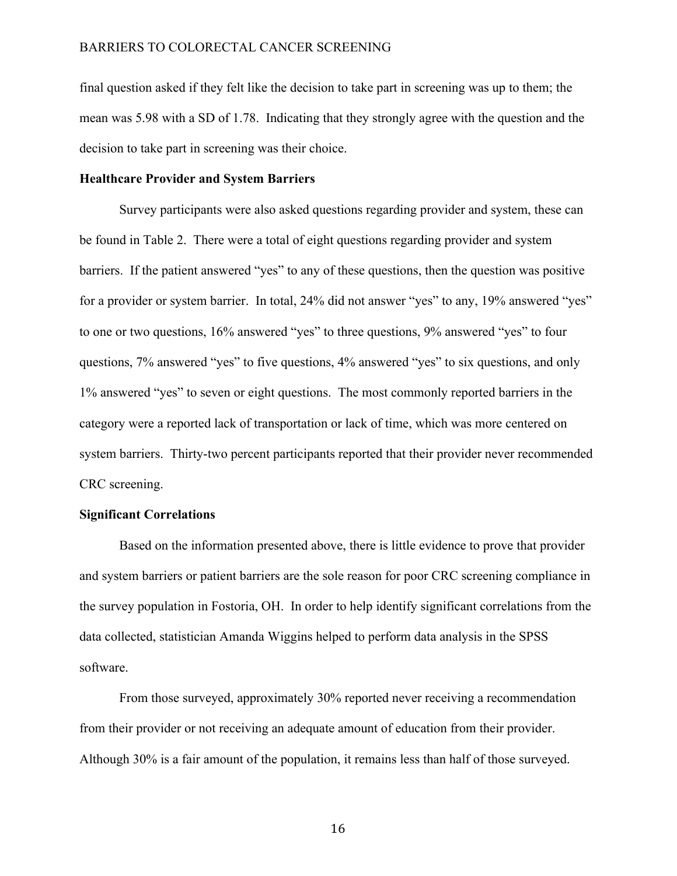final question asked if they felt like the decision to take part in screening was up to them; the mean was 5.98 with a SD of 1.78. Indicating that they strongly agree with the question and the decision to take part in screening was their choice.

#### **Healthcare Provider and System Barriers**

Survey participants were also asked questions regarding provider and system, these can be found in Table 2. There were a total of eight questions regarding provider and system barriers. If the patient answered "yes" to any of these questions, then the question was positive for a provider or system barrier. In total, 24% did not answer "yes" to any, 19% answered "yes" to one or two questions, 16% answered "yes" to three questions, 9% answered "yes" to four questions, 7% answered "yes" to five questions, 4% answered "yes" to six questions, and only 1% answered "yes" to seven or eight questions. The most commonly reported barriers in the category were a reported lack of transportation or lack of time, which was more centered on system barriers. Thirty-two percent participants reported that their provider never recommended CRC screening.

#### **Significant Correlations**

Based on the information presented above, there is little evidence to prove that provider and system barriers or patient barriers are the sole reason for poor CRC screening compliance in the survey population in Fostoria, OH. In order to help identify significant correlations from the data collected, statistician Amanda Wiggins helped to perform data analysis in the SPSS software.

From those surveyed, approximately 30% reported never receiving a recommendation from their provider or not receiving an adequate amount of education from their provider. Although 30% is a fair amount of the population, it remains less than half of those surveyed.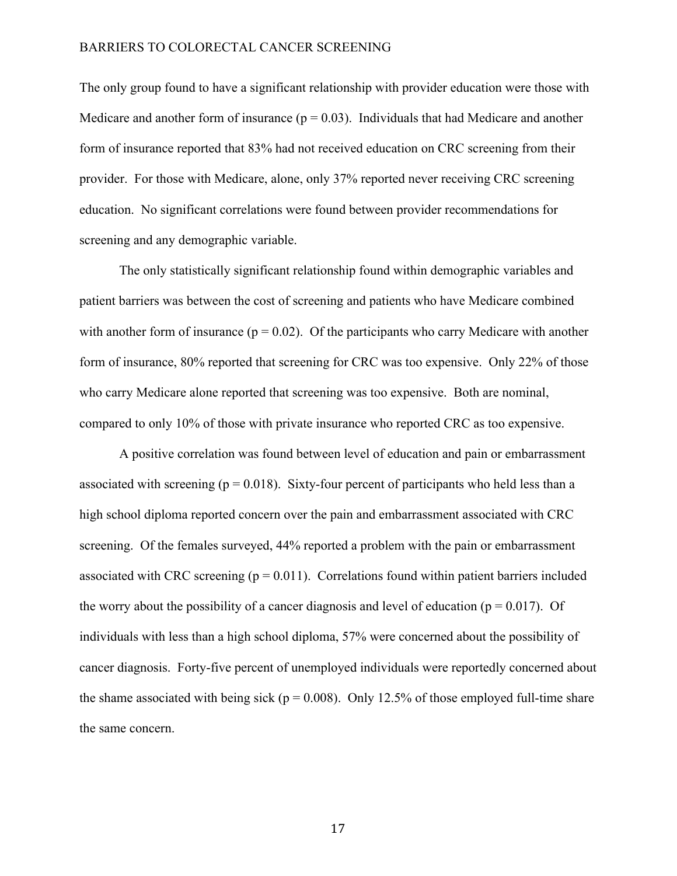The only group found to have a significant relationship with provider education were those with Medicare and another form of insurance  $(p = 0.03)$ . Individuals that had Medicare and another form of insurance reported that 83% had not received education on CRC screening from their provider. For those with Medicare, alone, only 37% reported never receiving CRC screening education. No significant correlations were found between provider recommendations for screening and any demographic variable.

The only statistically significant relationship found within demographic variables and patient barriers was between the cost of screening and patients who have Medicare combined with another form of insurance ( $p = 0.02$ ). Of the participants who carry Medicare with another form of insurance, 80% reported that screening for CRC was too expensive. Only 22% of those who carry Medicare alone reported that screening was too expensive. Both are nominal, compared to only 10% of those with private insurance who reported CRC as too expensive.

A positive correlation was found between level of education and pain or embarrassment associated with screening ( $p = 0.018$ ). Sixty-four percent of participants who held less than a high school diploma reported concern over the pain and embarrassment associated with CRC screening. Of the females surveyed, 44% reported a problem with the pain or embarrassment associated with CRC screening  $(p = 0.011)$ . Correlations found within patient barriers included the worry about the possibility of a cancer diagnosis and level of education ( $p = 0.017$ ). Of individuals with less than a high school diploma, 57% were concerned about the possibility of cancer diagnosis. Forty-five percent of unemployed individuals were reportedly concerned about the shame associated with being sick ( $p = 0.008$ ). Only 12.5% of those employed full-time share the same concern.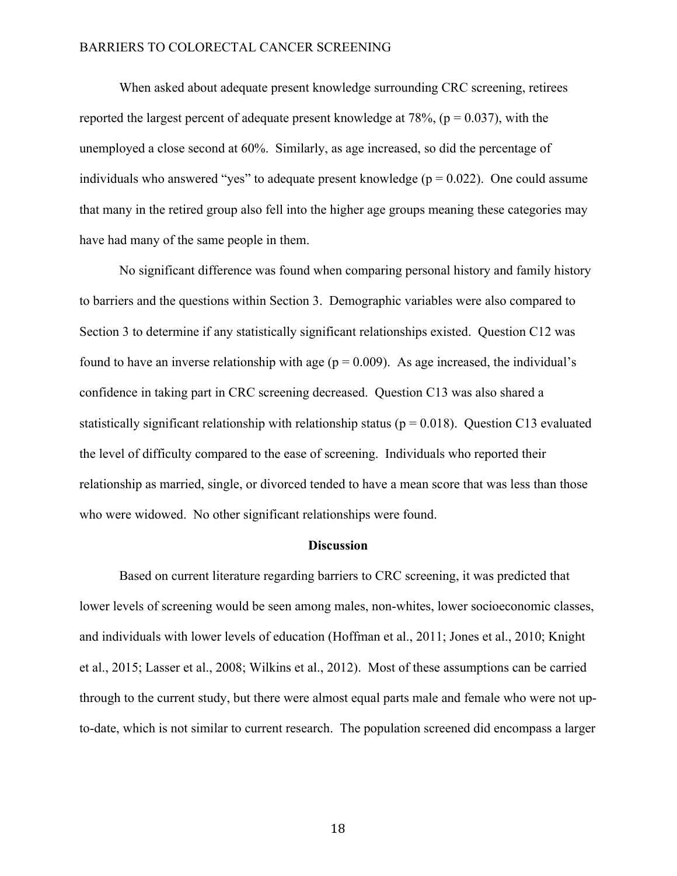When asked about adequate present knowledge surrounding CRC screening, retirees reported the largest percent of adequate present knowledge at 78%, ( $p = 0.037$ ), with the unemployed a close second at 60%. Similarly, as age increased, so did the percentage of individuals who answered "yes" to adequate present knowledge ( $p = 0.022$ ). One could assume that many in the retired group also fell into the higher age groups meaning these categories may have had many of the same people in them.

No significant difference was found when comparing personal history and family history to barriers and the questions within Section 3. Demographic variables were also compared to Section 3 to determine if any statistically significant relationships existed. Question C12 was found to have an inverse relationship with age  $(p = 0.009)$ . As age increased, the individual's confidence in taking part in CRC screening decreased. Question C13 was also shared a statistically significant relationship with relationship status ( $p = 0.018$ ). Question C13 evaluated the level of difficulty compared to the ease of screening. Individuals who reported their relationship as married, single, or divorced tended to have a mean score that was less than those who were widowed. No other significant relationships were found.

#### **Discussion**

Based on current literature regarding barriers to CRC screening, it was predicted that lower levels of screening would be seen among males, non-whites, lower socioeconomic classes, and individuals with lower levels of education (Hoffman et al., 2011; Jones et al., 2010; Knight et al., 2015; Lasser et al., 2008; Wilkins et al., 2012). Most of these assumptions can be carried through to the current study, but there were almost equal parts male and female who were not upto-date, which is not similar to current research. The population screened did encompass a larger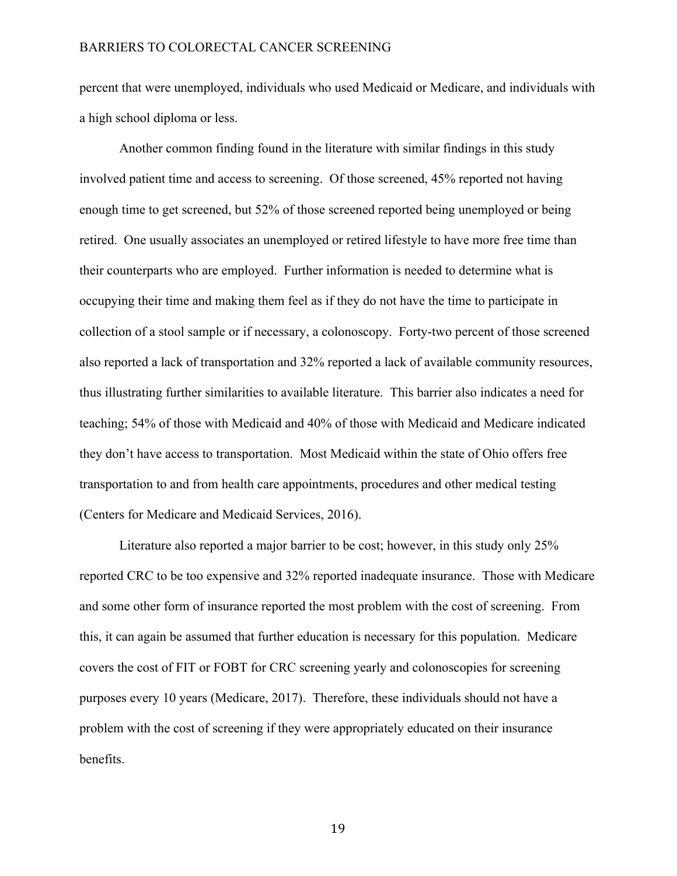percent that were unemployed, individuals who used Medicaid or Medicare, and individuals with a high school diploma or less.

Another common finding found in the literature with similar findings in this study involved patient time and access to screening. Of those screened, 45% reported not having enough time to get screened, but 52% of those screened reported being unemployed or being retired. One usually associates an unemployed or retired lifestyle to have more free time than their counterparts who are employed. Further information is needed to determine what is occupying their time and making them feel as if they do not have the time to participate in collection of a stool sample or if necessary, a colonoscopy. Forty-two percent of those screened also reported a lack of transportation and 32% reported a lack of available community resources, thus illustrating further similarities to available literature. This barrier also indicates a need for teaching; 54% of those with Medicaid and 40% of those with Medicaid and Medicare indicated they don't have access to transportation. Most Medicaid within the state of Ohio offers free transportation to and from health care appointments, procedures and other medical testing (Centers for Medicare and Medicaid Services, 2016).

Literature also reported a major barrier to be cost; however, in this study only 25% reported CRC to be too expensive and 32% reported inadequate insurance. Those with Medicare and some other form of insurance reported the most problem with the cost of screening. From this, it can again be assumed that further education is necessary for this population. Medicare covers the cost of FIT or FOBT for CRC screening yearly and colonoscopies for screening purposes every 10 years (Medicare, 2017). Therefore, these individuals should not have a problem with the cost of screening if they were appropriately educated on their insurance benefits.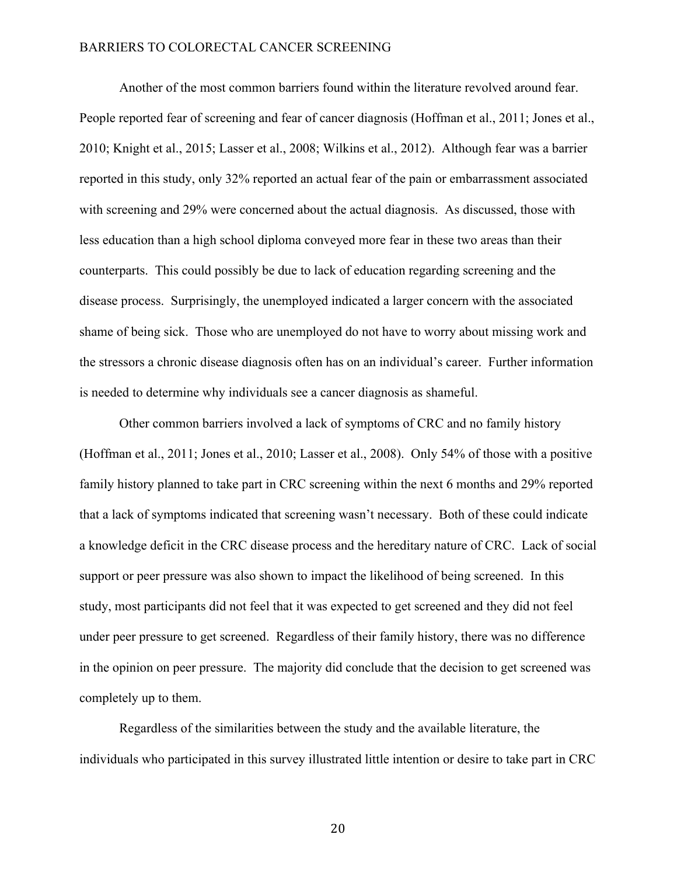Another of the most common barriers found within the literature revolved around fear. People reported fear of screening and fear of cancer diagnosis (Hoffman et al., 2011; Jones et al., 2010; Knight et al., 2015; Lasser et al., 2008; Wilkins et al., 2012). Although fear was a barrier reported in this study, only 32% reported an actual fear of the pain or embarrassment associated with screening and 29% were concerned about the actual diagnosis. As discussed, those with less education than a high school diploma conveyed more fear in these two areas than their counterparts. This could possibly be due to lack of education regarding screening and the disease process. Surprisingly, the unemployed indicated a larger concern with the associated shame of being sick. Those who are unemployed do not have to worry about missing work and the stressors a chronic disease diagnosis often has on an individual's career. Further information is needed to determine why individuals see a cancer diagnosis as shameful.

Other common barriers involved a lack of symptoms of CRC and no family history (Hoffman et al., 2011; Jones et al., 2010; Lasser et al., 2008). Only 54% of those with a positive family history planned to take part in CRC screening within the next 6 months and 29% reported that a lack of symptoms indicated that screening wasn't necessary. Both of these could indicate a knowledge deficit in the CRC disease process and the hereditary nature of CRC. Lack of social support or peer pressure was also shown to impact the likelihood of being screened. In this study, most participants did not feel that it was expected to get screened and they did not feel under peer pressure to get screened. Regardless of their family history, there was no difference in the opinion on peer pressure. The majority did conclude that the decision to get screened was completely up to them.

Regardless of the similarities between the study and the available literature, the individuals who participated in this survey illustrated little intention or desire to take part in CRC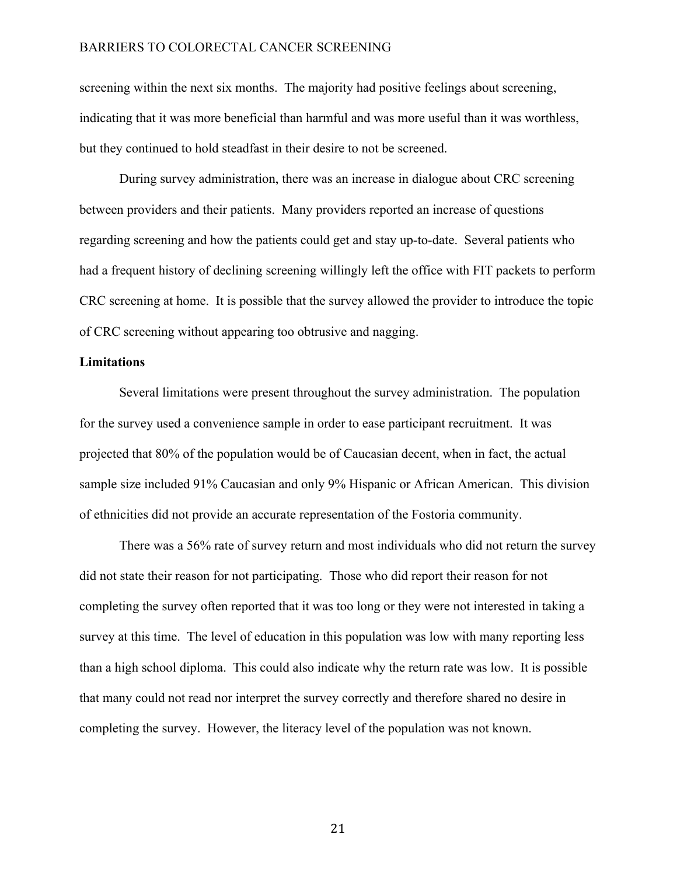screening within the next six months. The majority had positive feelings about screening, indicating that it was more beneficial than harmful and was more useful than it was worthless, but they continued to hold steadfast in their desire to not be screened.

During survey administration, there was an increase in dialogue about CRC screening between providers and their patients. Many providers reported an increase of questions regarding screening and how the patients could get and stay up-to-date. Several patients who had a frequent history of declining screening willingly left the office with FIT packets to perform CRC screening at home. It is possible that the survey allowed the provider to introduce the topic of CRC screening without appearing too obtrusive and nagging.

### **Limitations**

Several limitations were present throughout the survey administration. The population for the survey used a convenience sample in order to ease participant recruitment. It was projected that 80% of the population would be of Caucasian decent, when in fact, the actual sample size included 91% Caucasian and only 9% Hispanic or African American. This division of ethnicities did not provide an accurate representation of the Fostoria community.

There was a 56% rate of survey return and most individuals who did not return the survey did not state their reason for not participating. Those who did report their reason for not completing the survey often reported that it was too long or they were not interested in taking a survey at this time. The level of education in this population was low with many reporting less than a high school diploma. This could also indicate why the return rate was low. It is possible that many could not read nor interpret the survey correctly and therefore shared no desire in completing the survey. However, the literacy level of the population was not known.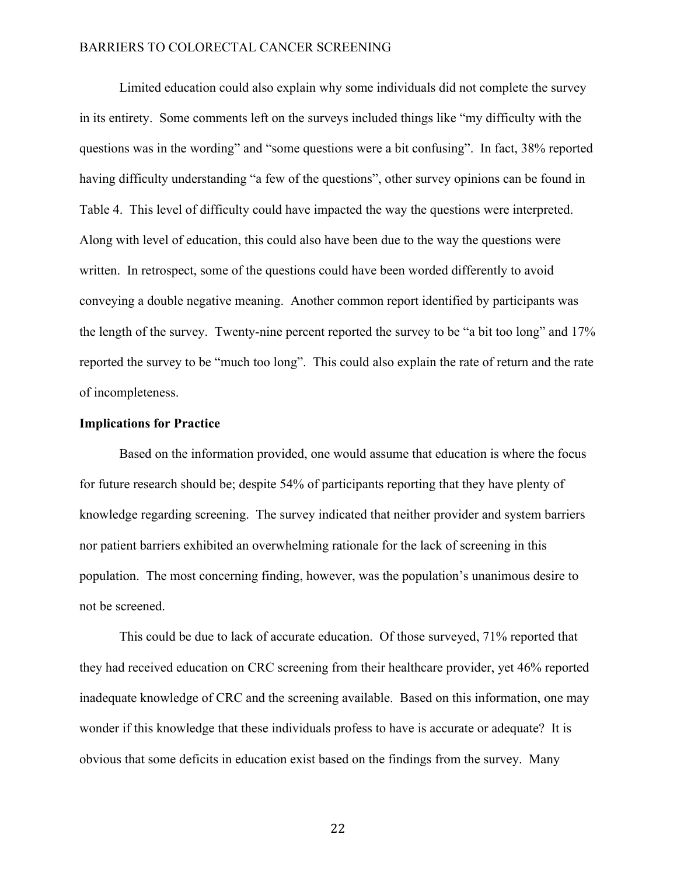Limited education could also explain why some individuals did not complete the survey in its entirety. Some comments left on the surveys included things like "my difficulty with the questions was in the wording" and "some questions were a bit confusing". In fact, 38% reported having difficulty understanding "a few of the questions", other survey opinions can be found in Table 4. This level of difficulty could have impacted the way the questions were interpreted. Along with level of education, this could also have been due to the way the questions were written. In retrospect, some of the questions could have been worded differently to avoid conveying a double negative meaning. Another common report identified by participants was the length of the survey. Twenty-nine percent reported the survey to be "a bit too long" and 17% reported the survey to be "much too long". This could also explain the rate of return and the rate of incompleteness.

#### **Implications for Practice**

Based on the information provided, one would assume that education is where the focus for future research should be; despite 54% of participants reporting that they have plenty of knowledge regarding screening. The survey indicated that neither provider and system barriers nor patient barriers exhibited an overwhelming rationale for the lack of screening in this population. The most concerning finding, however, was the population's unanimous desire to not be screened.

This could be due to lack of accurate education. Of those surveyed, 71% reported that they had received education on CRC screening from their healthcare provider, yet 46% reported inadequate knowledge of CRC and the screening available. Based on this information, one may wonder if this knowledge that these individuals profess to have is accurate or adequate? It is obvious that some deficits in education exist based on the findings from the survey. Many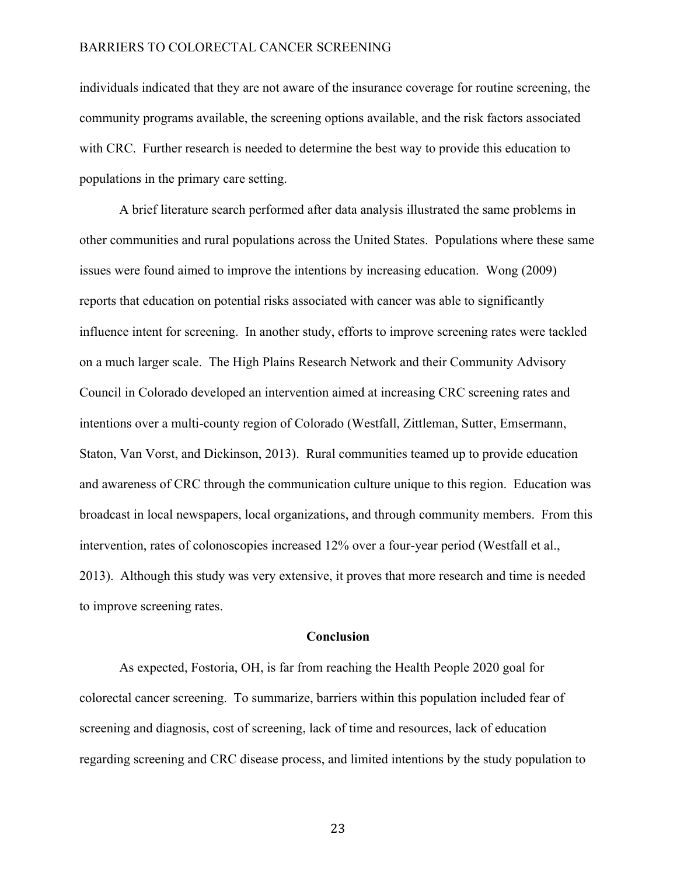individuals indicated that they are not aware of the insurance coverage for routine screening, the community programs available, the screening options available, and the risk factors associated with CRC. Further research is needed to determine the best way to provide this education to populations in the primary care setting.

A brief literature search performed after data analysis illustrated the same problems in other communities and rural populations across the United States. Populations where these same issues were found aimed to improve the intentions by increasing education. Wong (2009) reports that education on potential risks associated with cancer was able to significantly influence intent for screening. In another study, efforts to improve screening rates were tackled on a much larger scale. The High Plains Research Network and their Community Advisory Council in Colorado developed an intervention aimed at increasing CRC screening rates and intentions over a multi-county region of Colorado (Westfall, Zittleman, Sutter, Emsermann, Staton, Van Vorst, and Dickinson, 2013). Rural communities teamed up to provide education and awareness of CRC through the communication culture unique to this region. Education was broadcast in local newspapers, local organizations, and through community members. From this intervention, rates of colonoscopies increased 12% over a four-year period (Westfall et al., 2013). Although this study was very extensive, it proves that more research and time is needed to improve screening rates.

#### **Conclusion**

As expected, Fostoria, OH, is far from reaching the Health People 2020 goal for colorectal cancer screening. To summarize, barriers within this population included fear of screening and diagnosis, cost of screening, lack of time and resources, lack of education regarding screening and CRC disease process, and limited intentions by the study population to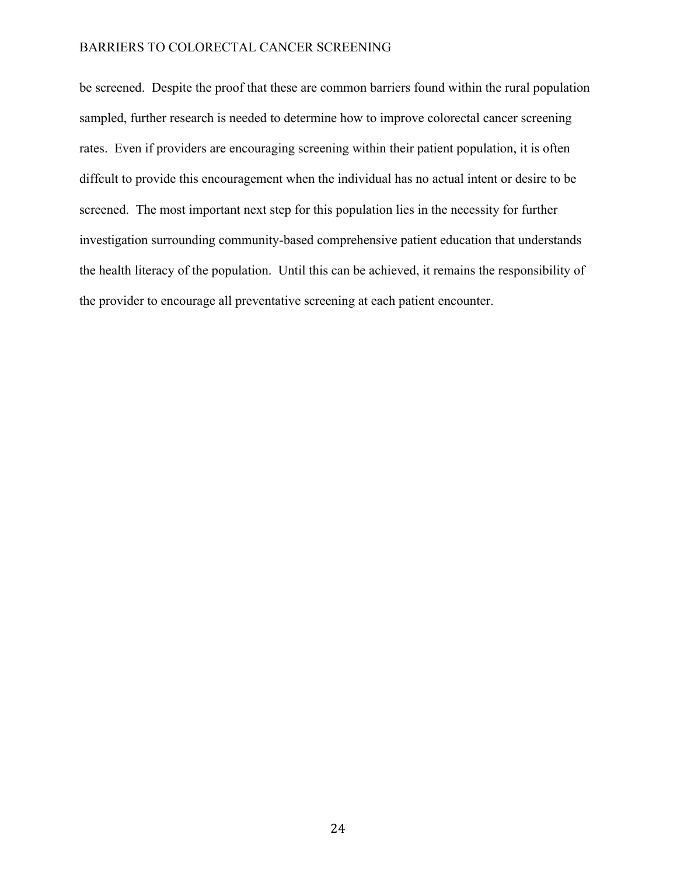be screened. Despite the proof that these are common barriers found within the rural population sampled, further research is needed to determine how to improve colorectal cancer screening rates. Even if providers are encouraging screening within their patient population, it is often diffcult to provide this encouragement when the individual has no actual intent or desire to be screened. The most important next step for this population lies in the necessity for further investigation surrounding community-based comprehensive patient education that understands the health literacy of the population. Until this can be achieved, it remains the responsibility of the provider to encourage all preventative screening at each patient encounter.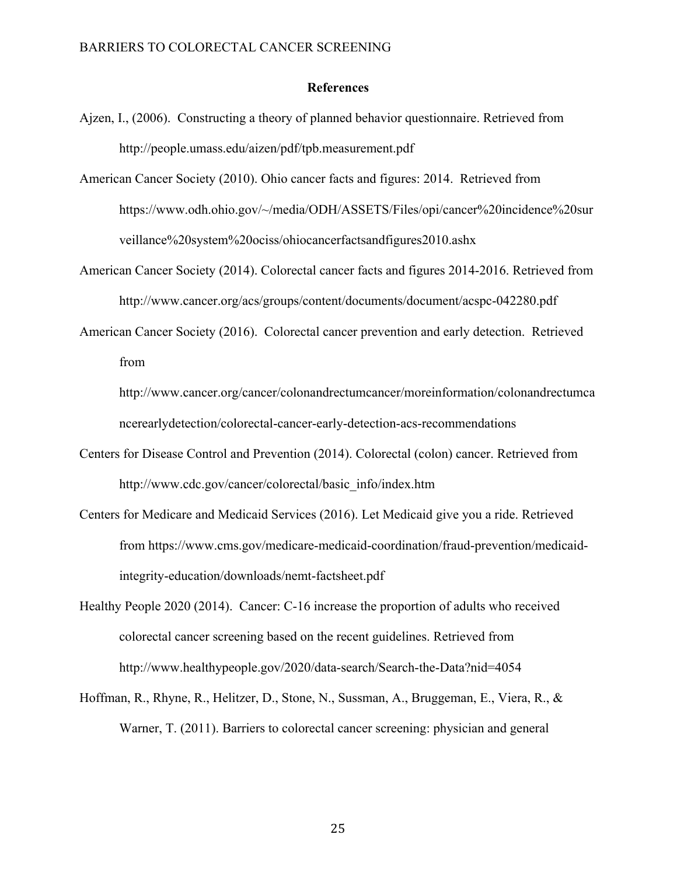#### **References**

- Ajzen, I., (2006). Constructing a theory of planned behavior questionnaire. Retrieved from http://people.umass.edu/aizen/pdf/tpb.measurement.pdf
- American Cancer Society (2010). Ohio cancer facts and figures: 2014. Retrieved from https://www.odh.ohio.gov/~/media/ODH/ASSETS/Files/opi/cancer%20incidence%20sur veillance%20system%20ociss/ohiocancerfactsandfigures2010.ashx
- American Cancer Society (2014). Colorectal cancer facts and figures 2014-2016. Retrieved from http://www.cancer.org/acs/groups/content/documents/document/acspc-042280.pdf
- American Cancer Society (2016). Colorectal cancer prevention and early detection. Retrieved from

http://www.cancer.org/cancer/colonandrectumcancer/moreinformation/colonandrectumca ncerearlydetection/colorectal-cancer-early-detection-acs-recommendations

- Centers for Disease Control and Prevention (2014). Colorectal (colon) cancer. Retrieved from http://www.cdc.gov/cancer/colorectal/basic\_info/index.htm
- Centers for Medicare and Medicaid Services (2016). Let Medicaid give you a ride. Retrieved from https://www.cms.gov/medicare-medicaid-coordination/fraud-prevention/medicaidintegrity-education/downloads/nemt-factsheet.pdf
- Healthy People 2020 (2014). Cancer: C-16 increase the proportion of adults who received colorectal cancer screening based on the recent guidelines. Retrieved from http://www.healthypeople.gov/2020/data-search/Search-the-Data?nid=4054
- Hoffman, R., Rhyne, R., Helitzer, D., Stone, N., Sussman, A., Bruggeman, E., Viera, R., & Warner, T. (2011). Barriers to colorectal cancer screening: physician and general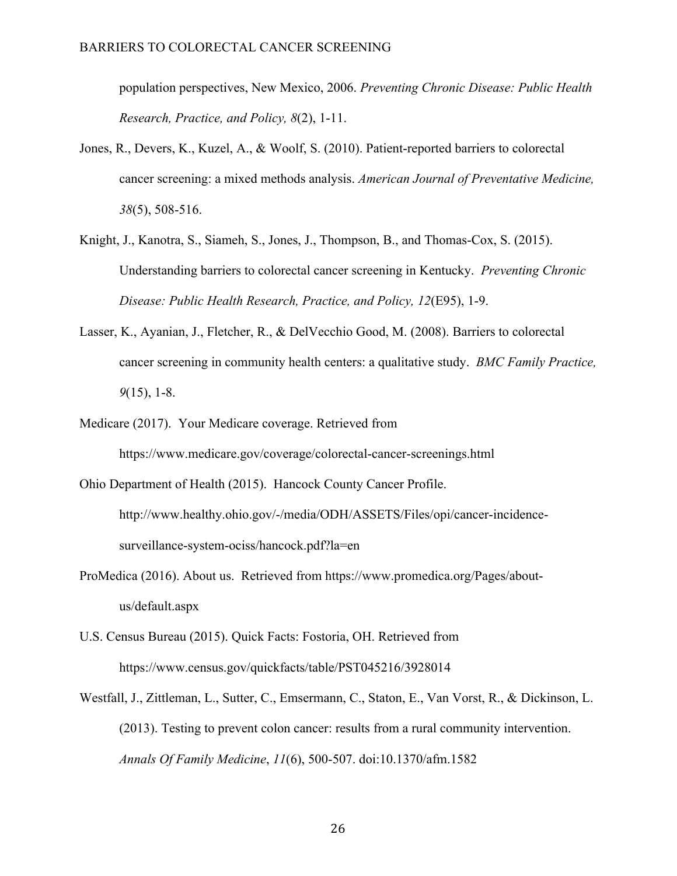population perspectives, New Mexico, 2006. *Preventing Chronic Disease: Public Health Research, Practice, and Policy, 8*(2), 1-11.

- Jones, R., Devers, K., Kuzel, A., & Woolf, S. (2010). Patient-reported barriers to colorectal cancer screening: a mixed methods analysis. *American Journal of Preventative Medicine, 38*(5), 508-516.
- Knight, J., Kanotra, S., Siameh, S., Jones, J., Thompson, B., and Thomas-Cox, S. (2015). Understanding barriers to colorectal cancer screening in Kentucky. *Preventing Chronic Disease: Public Health Research, Practice, and Policy, 12*(E95), 1-9.
- Lasser, K., Ayanian, J., Fletcher, R., & DelVecchio Good, M. (2008). Barriers to colorectal cancer screening in community health centers: a qualitative study. *BMC Family Practice, 9*(15), 1-8.
- Medicare (2017). Your Medicare coverage. Retrieved from https://www.medicare.gov/coverage/colorectal-cancer-screenings.html
- Ohio Department of Health (2015). Hancock County Cancer Profile. http://www.healthy.ohio.gov/-/media/ODH/ASSETS/Files/opi/cancer-incidencesurveillance-system-ociss/hancock.pdf?la=en
- ProMedica (2016). About us. Retrieved from https://www.promedica.org/Pages/aboutus/default.aspx
- U.S. Census Bureau (2015). Quick Facts: Fostoria, OH. Retrieved from https://www.census.gov/quickfacts/table/PST045216/3928014
- Westfall, J., Zittleman, L., Sutter, C., Emsermann, C., Staton, E., Van Vorst, R., & Dickinson, L. (2013). Testing to prevent colon cancer: results from a rural community intervention. *Annals Of Family Medicine*, *11*(6), 500-507. doi:10.1370/afm.1582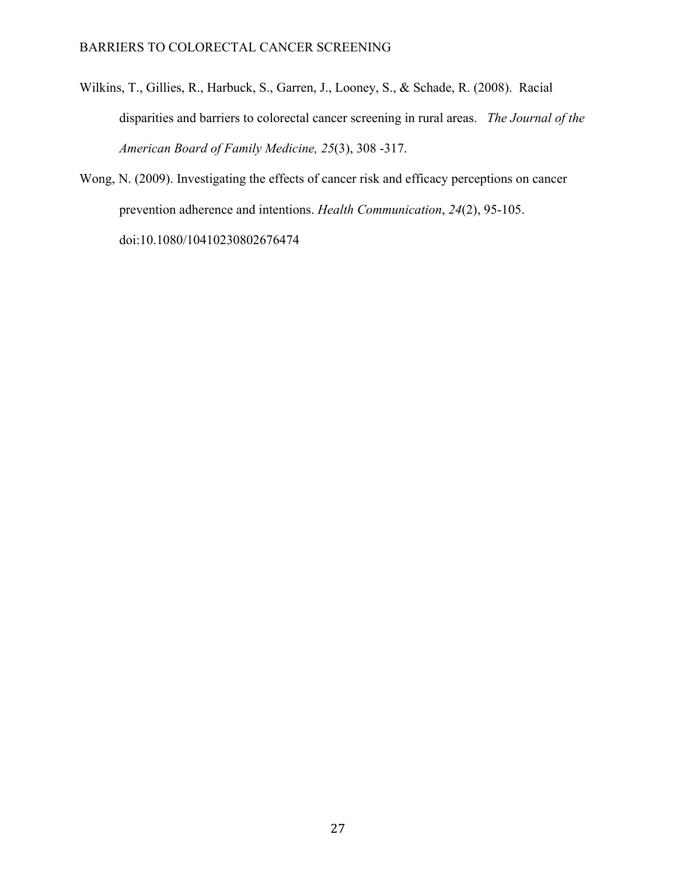- Wilkins, T., Gillies, R., Harbuck, S., Garren, J., Looney, S., & Schade, R. (2008). Racial disparities and barriers to colorectal cancer screening in rural areas. *The Journal of the American Board of Family Medicine, 25*(3), 308 -317.
- Wong, N. (2009). Investigating the effects of cancer risk and efficacy perceptions on cancer prevention adherence and intentions. *Health Communication*, *24*(2), 95-105. doi:10.1080/10410230802676474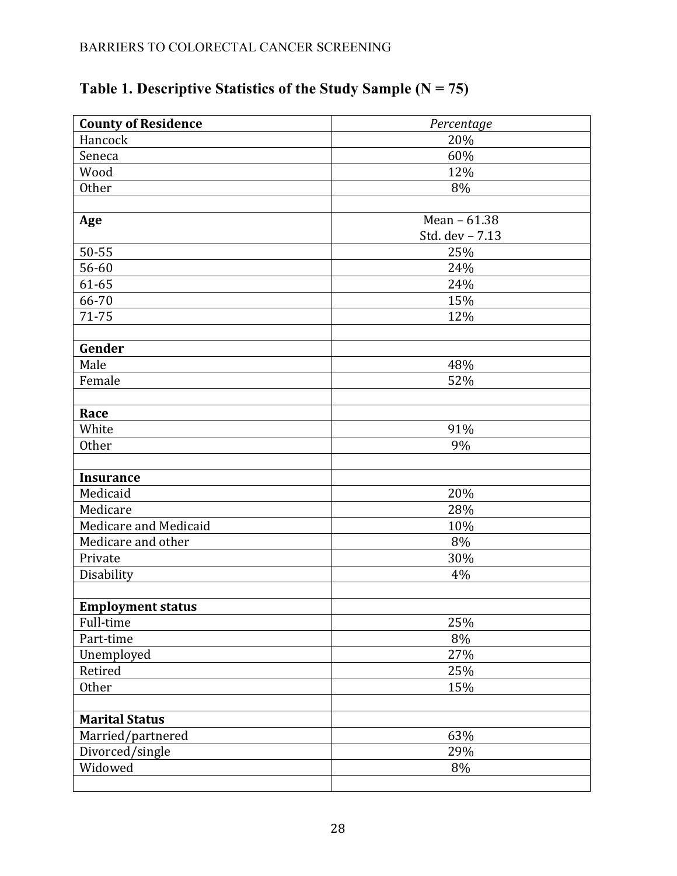| <b>County of Residence</b> | Percentage      |
|----------------------------|-----------------|
| Hancock                    | 20%             |
| Seneca                     | 60%             |
| Wood                       | 12%             |
| Other                      | 8%              |
|                            |                 |
| Age                        | Mean - 61.38    |
|                            | Std. dev - 7.13 |
| 50-55                      | 25%             |
| 56-60                      | 24%             |
| 61-65                      | 24%             |
| 66-70                      | 15%             |
| 71-75                      | 12%             |
|                            |                 |
| Gender                     |                 |
| Male                       | 48%             |
| Female                     | 52%             |
|                            |                 |
| Race                       |                 |
| White                      | 91%             |
| Other                      | 9%              |
|                            |                 |
| <b>Insurance</b>           |                 |
| Medicaid                   | 20%             |
| Medicare                   | 28%             |
| Medicare and Medicaid      | 10%             |
| Medicare and other         | 8%              |
| Private                    | 30%             |
| Disability                 | 4%              |
|                            |                 |
| <b>Employment status</b>   |                 |
| Full-time                  | 25%             |
| Part-time                  | $8\%$           |
| Unemployed                 | 27%             |
| Retired                    | 25%             |
| Other                      | 15%             |
|                            |                 |
| <b>Marital Status</b>      |                 |
| Married/partnered          | 63%             |
| Divorced/single            | 29%             |
| Widowed                    | 8%              |
|                            |                 |

# **Table 1. Descriptive Statistics of the Study Sample (N = 75)**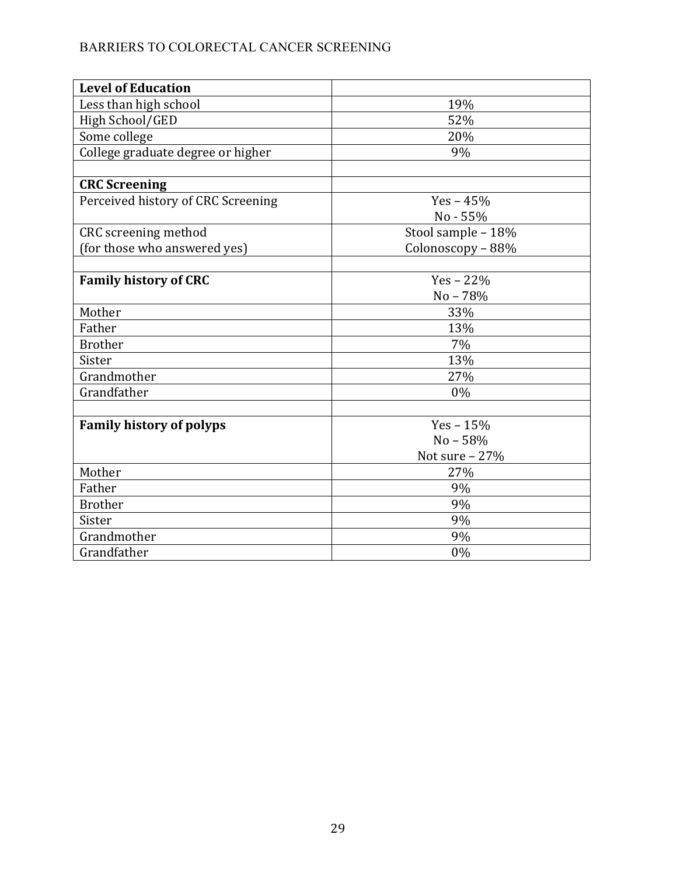| <b>Level of Education</b>          |                    |
|------------------------------------|--------------------|
| Less than high school              | 19%                |
| High School/GED                    | 52%                |
| Some college                       | 20%                |
| College graduate degree or higher  | 9%                 |
|                                    |                    |
| <b>CRC</b> Screening               |                    |
| Perceived history of CRC Screening | $Yes - 45%$        |
|                                    | No - 55%           |
| CRC screening method               | Stool sample - 18% |
| (for those who answered yes)       | Colonoscopy - 88%  |
|                                    |                    |
| <b>Family history of CRC</b>       | $Yes - 22\%$       |
|                                    | $No - 78%$         |
| Mother                             | 33%                |
| Father                             | 13%                |
| <b>Brother</b>                     | 7%                 |
| Sister                             | 13%                |
| Grandmother                        | 27%                |
| Grandfather                        | 0%                 |
|                                    |                    |
| <b>Family history of polyps</b>    | Yes $-15%$         |
|                                    | $No - 58%$         |
|                                    | Not sure $-27%$    |
| Mother                             | 27%                |
| Father                             | 9%                 |
| <b>Brother</b>                     | 9%                 |
| Sister                             | 9%                 |
| Grandmother                        | 9%                 |
| Grandfather                        | 0%                 |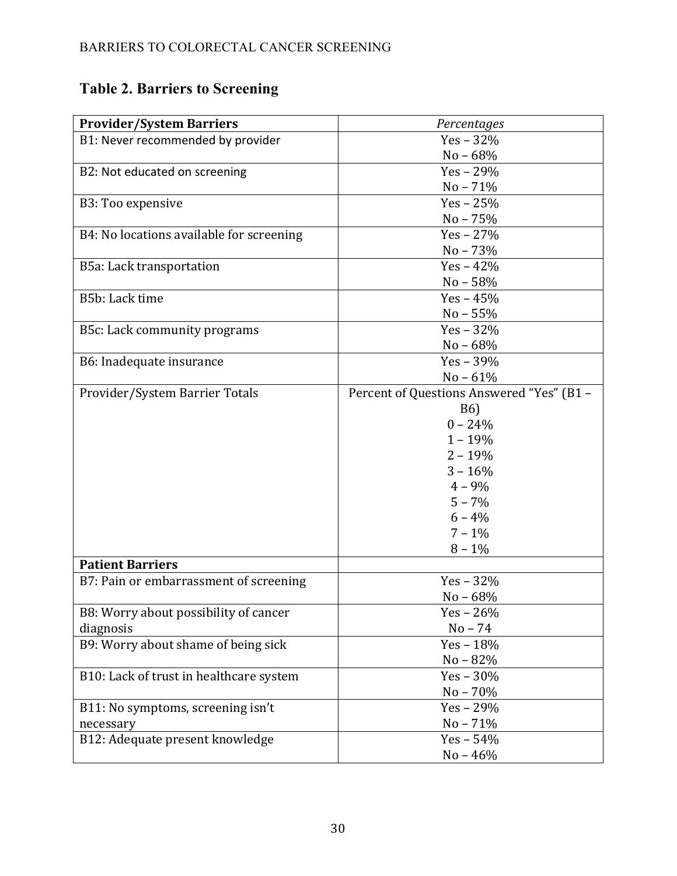# **Table 2. Barriers to Screening**

| <b>Provider/System Barriers</b>          | Percentages                               |  |  |  |
|------------------------------------------|-------------------------------------------|--|--|--|
| B1: Never recommended by provider        | $Yes - 32%$                               |  |  |  |
|                                          | No - 68%                                  |  |  |  |
| B2: Not educated on screening            | $Yes - 29%$                               |  |  |  |
|                                          | $No - 71%$                                |  |  |  |
| B3: Too expensive                        | $Yes - 25%$                               |  |  |  |
|                                          | $No - 75%$                                |  |  |  |
| B4: No locations available for screening | $Yes - 27\%$                              |  |  |  |
|                                          | $No - 73%$                                |  |  |  |
| B5a: Lack transportation                 | $Yes - 42%$                               |  |  |  |
|                                          | $No - 58%$                                |  |  |  |
| B5b: Lack time                           | $Yes - 45%$                               |  |  |  |
|                                          | $No - 55%$                                |  |  |  |
| B5c: Lack community programs             | Yes $-32%$                                |  |  |  |
|                                          | $No - 68%$                                |  |  |  |
| B6: Inadequate insurance                 | $Yes - 39%$                               |  |  |  |
|                                          | $No - 61%$                                |  |  |  |
| Provider/System Barrier Totals           | Percent of Questions Answered "Yes" (B1 - |  |  |  |
|                                          | <b>B6</b> )                               |  |  |  |
|                                          | $0 - 24%$                                 |  |  |  |
|                                          | $1 - 19%$                                 |  |  |  |
|                                          | $2 - 19%$                                 |  |  |  |
|                                          | $3 - 16%$                                 |  |  |  |
|                                          | $4 - 9\%$                                 |  |  |  |
|                                          | $5 - 7\%$                                 |  |  |  |
|                                          | $6 - 4%$                                  |  |  |  |
|                                          | $7 - 1\%$                                 |  |  |  |
|                                          | $8 - 1\%$                                 |  |  |  |
| <b>Patient Barriers</b>                  |                                           |  |  |  |
| B7: Pain or embarrassment of screening   | $Yes - 32%$                               |  |  |  |
|                                          | $No - 68%$                                |  |  |  |
| B8: Worry about possibility of cancer    | $Yes - 26%$                               |  |  |  |
| diagnosis                                | $No - 74$                                 |  |  |  |
| B9: Worry about shame of being sick      | $Yes - 18%$                               |  |  |  |
|                                          | $No - 82%$                                |  |  |  |
| B10: Lack of trust in healthcare system  | $Yes - 30\%$                              |  |  |  |
|                                          | $No - 70\%$                               |  |  |  |
| B11: No symptoms, screening isn't        | $Yes - 29\%$                              |  |  |  |
| necessary                                | $No - 71%$                                |  |  |  |
| B12: Adequate present knowledge          | $Yes - 54%$                               |  |  |  |
|                                          | $No - 46%$                                |  |  |  |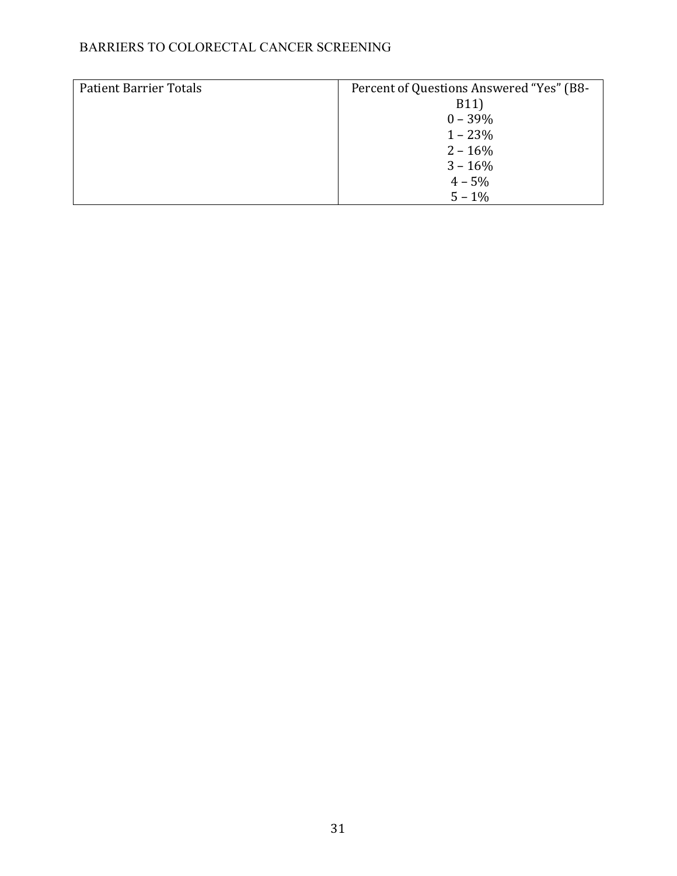| <b>Patient Barrier Totals</b> | Percent of Questions Answered "Yes" (B8- |
|-------------------------------|------------------------------------------|
|                               | B11)                                     |
|                               | $0 - 39\%$                               |
|                               | $1 - 23%$                                |
|                               | $2 - 16\%$                               |
|                               | $3 - 16%$                                |
|                               | $4 - 5\%$                                |
|                               | $5 - 1\%$                                |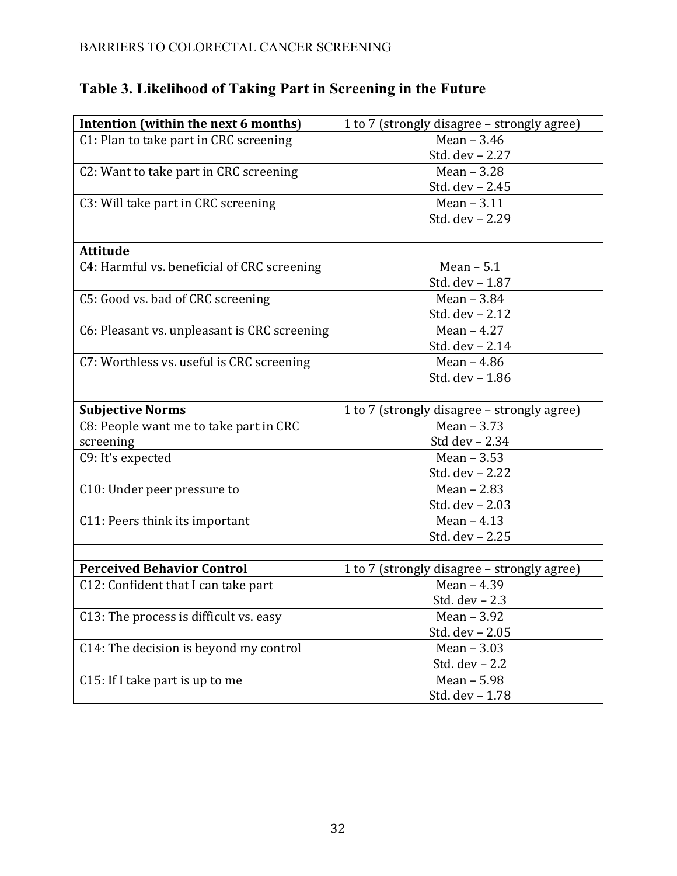| Intention (within the next 6 months)         | 1 to 7 (strongly disagree - strongly agree) |  |  |  |  |
|----------------------------------------------|---------------------------------------------|--|--|--|--|
| C1: Plan to take part in CRC screening       | Mean - 3.46                                 |  |  |  |  |
|                                              | Std. dev - 2.27                             |  |  |  |  |
| C2: Want to take part in CRC screening       | Mean $-3.28$                                |  |  |  |  |
|                                              | Std. dev - 2.45                             |  |  |  |  |
| C3: Will take part in CRC screening          | Mean $-3.11$                                |  |  |  |  |
|                                              | Std. dev - 2.29                             |  |  |  |  |
|                                              |                                             |  |  |  |  |
| <b>Attitude</b>                              |                                             |  |  |  |  |
| C4: Harmful vs. beneficial of CRC screening  | Mean $-5.1$                                 |  |  |  |  |
|                                              | Std. dev - 1.87                             |  |  |  |  |
| C5: Good vs. bad of CRC screening            | Mean - 3.84                                 |  |  |  |  |
|                                              | Std. dev - 2.12                             |  |  |  |  |
| C6: Pleasant vs. unpleasant is CRC screening | Mean $-4.27$                                |  |  |  |  |
|                                              | Std. dev - 2.14                             |  |  |  |  |
| C7: Worthless vs. useful is CRC screening    | Mean $-4.86$                                |  |  |  |  |
|                                              | Std. dev - 1.86                             |  |  |  |  |
|                                              |                                             |  |  |  |  |
| <b>Subjective Norms</b>                      | 1 to 7 (strongly disagree - strongly agree) |  |  |  |  |
| C8: People want me to take part in CRC       | Mean $-3.73$                                |  |  |  |  |
| screening                                    | Std dev - 2.34                              |  |  |  |  |
| C9: It's expected                            | Mean $-3.53$                                |  |  |  |  |
|                                              | Std. dev - 2.22                             |  |  |  |  |
| C10: Under peer pressure to                  | Mean $-2.83$                                |  |  |  |  |
|                                              | Std. dev - 2.03                             |  |  |  |  |
| C11: Peers think its important               | Mean $-4.13$                                |  |  |  |  |
|                                              | Std. dev - 2.25                             |  |  |  |  |
|                                              |                                             |  |  |  |  |
| <b>Perceived Behavior Control</b>            | 1 to 7 (strongly disagree – strongly agree) |  |  |  |  |
| C12: Confident that I can take part          | Mean - 4.39                                 |  |  |  |  |
|                                              | Std. dev - 2.3                              |  |  |  |  |
| C13: The process is difficult vs. easy       | Mean - 3.92                                 |  |  |  |  |
|                                              | Std. dev - 2.05                             |  |  |  |  |
| C14: The decision is beyond my control       | Mean $-3.03$                                |  |  |  |  |
|                                              | Std. dev - 2.2                              |  |  |  |  |
| C15: If I take part is up to me              | Mean - 5.98                                 |  |  |  |  |
|                                              | Std. dev - 1.78                             |  |  |  |  |

# **Table 3. Likelihood of Taking Part in Screening in the Future**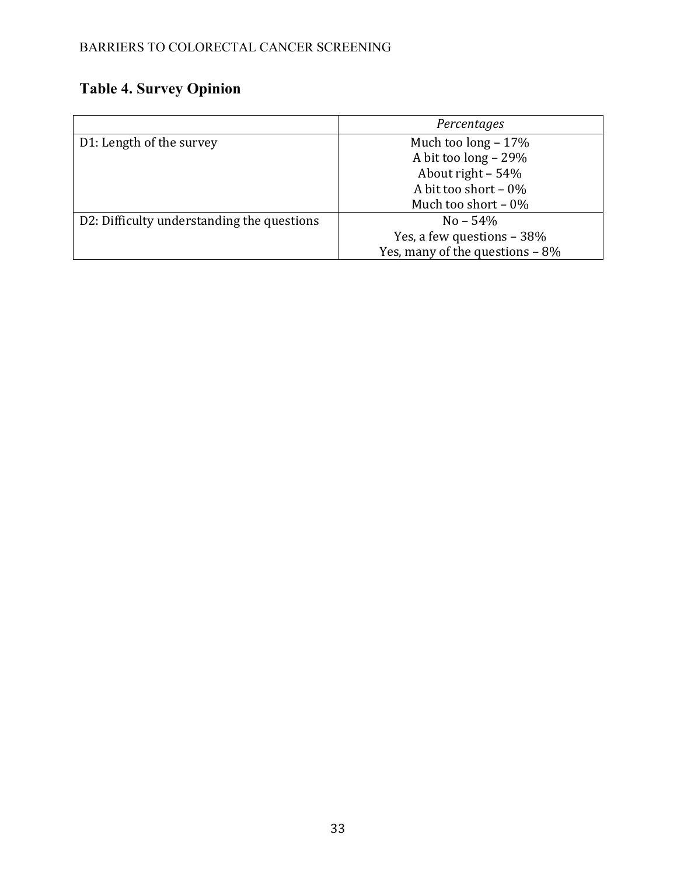# **Table 4. Survey Opinion**

|                                            | Percentages                       |  |  |  |  |
|--------------------------------------------|-----------------------------------|--|--|--|--|
| D1: Length of the survey                   | Much too long $-17\%$             |  |  |  |  |
|                                            | A bit too long - 29%              |  |  |  |  |
|                                            | About right $-54%$                |  |  |  |  |
|                                            | A bit too short $-0\%$            |  |  |  |  |
|                                            | Much too short $-0\%$             |  |  |  |  |
| D2: Difficulty understanding the questions | $No - 54\%$                       |  |  |  |  |
|                                            | Yes, a few questions - 38%        |  |  |  |  |
|                                            | Yes, many of the questions $-8\%$ |  |  |  |  |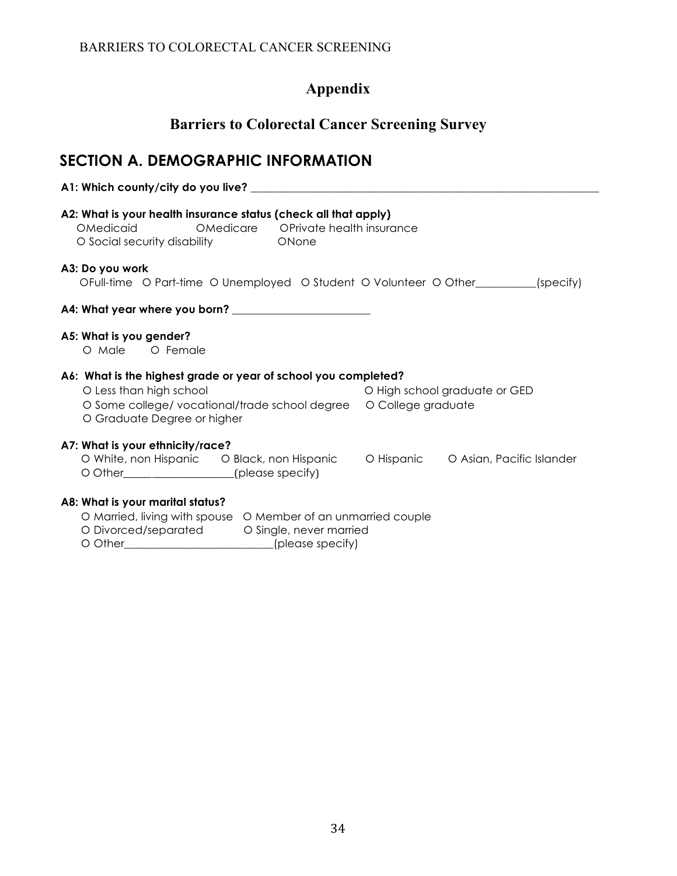# **Appendix**

## **Barriers to Colorectal Cancer Screening Survey**

# **SECTION A. DEMOGRAPHIC INFORMATION**

# **A1: Which county/city do you live? \_\_\_\_\_\_\_\_\_\_\_\_\_\_\_\_\_\_\_\_\_\_\_\_\_\_\_\_\_\_\_\_\_\_\_\_\_\_\_\_\_\_\_\_\_\_\_\_\_\_\_\_\_\_\_\_\_\_\_\_\_\_\_ A2: What is your health insurance status (check all that apply)** OMedicaid **••** OMedicare •• OPrivate health insurance O Social security disability **•** • • • • ONone **A3: Do you work** OFull-time O Part-time O Unemployed O Student O Volunteer O Other [specify] **A4: What year where you born? \_\_\_\_\_\_\_\_\_\_\_\_\_\_\_\_\_\_\_\_\_\_\_\_\_ A5: What is you gender?** O Male O Female **A6: What is the highest grade or year of school you completed?** O Less than high school in the control of High school graduate or GED O Some college/ vocational/trade school degree  $\circ$  College graduate O Graduate Degree or higher **A7: What is your ethnicity/race?** O White, non Hispanic  $\qquad$  O Black, non Hispanic  $\qquad$  O Hispanic  $\qquad$  O Asian, Pacific Islander O Other\_\_\_\_\_\_\_\_\_\_\_\_\_\_\_\_\_\_\_\_\_\_(please specify) **A8: What is your marital status?** O Married, living with spouse O Member of an unmarried couple

- O Divorced/separated <sup>O Single, never married</sup>
- O Other\_\_\_\_\_\_\_\_\_\_\_\_\_\_\_\_\_\_\_\_\_\_\_\_\_\_\_(please specify)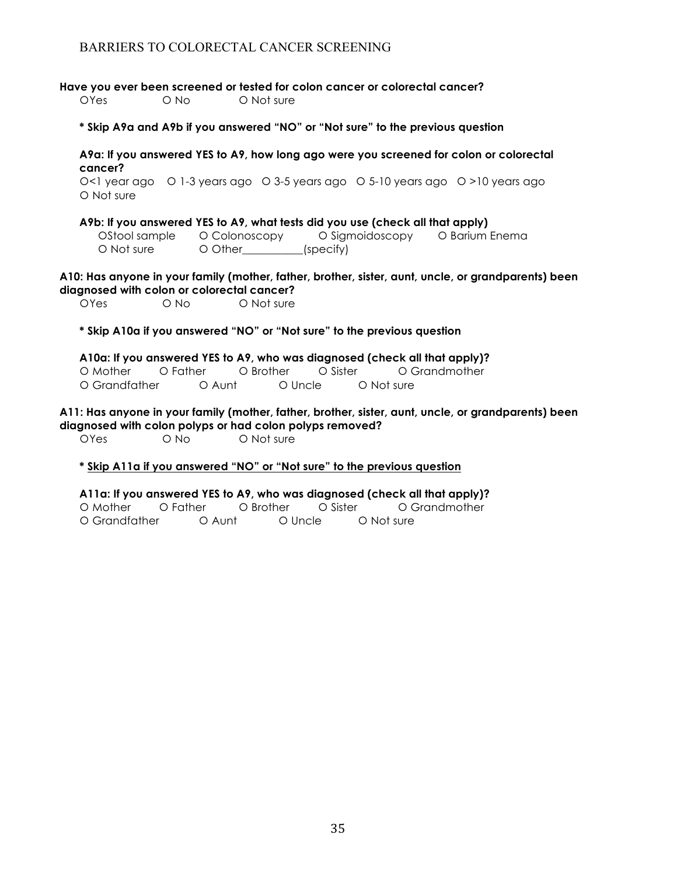**Have you ever been screened or tested for colon cancer or colorectal cancer?**

O'Yes O'No O'Not sure

**\* Skip A9a and A9b if you answered "NO" or "Not sure" to the previous question**

**A9a: If you answered YES to A9, how long ago were you screened for colon or colorectal cancer?**

O<1 year ago 
O 1-3 years ago 
O 3-5 years ago 
O 5-10 years ago 
O >10 years ago O Not sure

**A9b: If you answered YES to A9, what tests did you use (check all that apply)**

 ¡Stool sample ¡ Colonoscopy ¡ Sigmoidoscopy ¡ Barium Enema O Not sure  $\qquad$  O Other (specify)

**A10: Has anyone in your family (mother, father, brother, sister, aunt, uncle, or grandparents) been diagnosed with colon or colorectal cancer?**

O'Yes O No O Not sure

**\* Skip A10a if you answered "NO" or "Not sure" to the previous question**

**A10a: If you answered YES to A9, who was diagnosed (check all that apply)?** O Mother 
<sup>o</sup> Father 
<sup>o</sup> Brother **o** Sister **o** Grandmother O Grandfather  $\qquad$  O Aunt  $\qquad$  O Uncle  $\qquad$  O Not sure

**A11: Has anyone in your family (mother, father, brother, sister, aunt, uncle, or grandparents) been diagnosed with colon polyps or had colon polyps removed?**

O'Yes ONo ONot sure

**\* Skip A11a if you answered "NO" or "Not sure" to the previous question**

**A11a: If you answered YES to A9, who was diagnosed (check all that apply)?** O Mother O Father O Brother O Sister O Grandmother  $\Omega$  Grandfather  $\Omega$  Aunt  $\Omega$  Uncle  $\Omega$  Not sure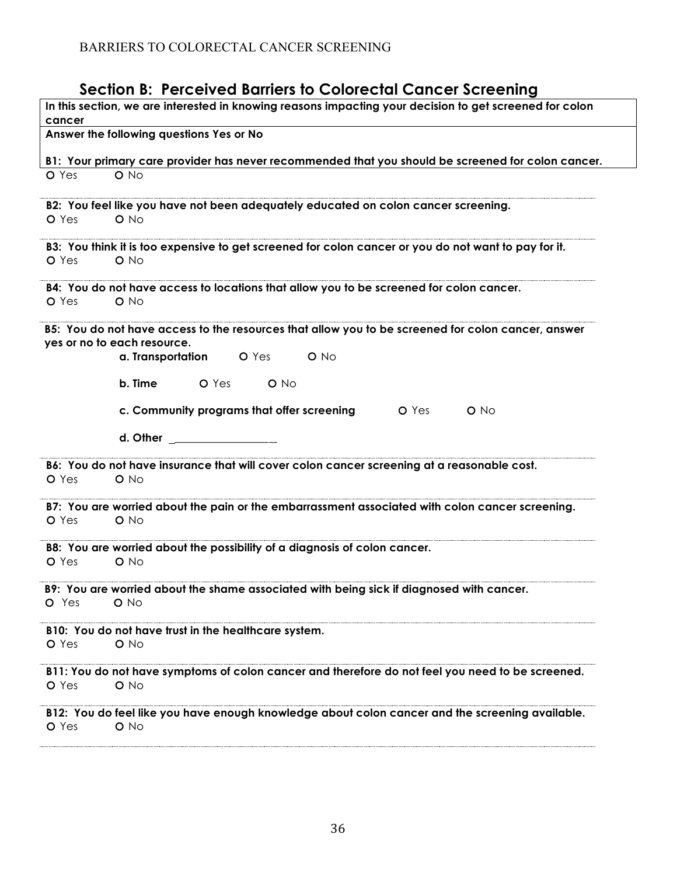# **Section B: Perceived Barriers to Colorectal Cancer Screening**

| In this section, we are interested in knowing reasons impacting your decision to get screened for colon            |
|--------------------------------------------------------------------------------------------------------------------|
| cancer<br>Answer the following questions Yes or No                                                                 |
|                                                                                                                    |
| B1: Your primary care provider has never recommended that you should be screened for colon cancer.                 |
| $O$ No<br>O Yes                                                                                                    |
| B2: You feel like you have not been adequately educated on colon cancer screening.                                 |
| O Yes<br>$O$ No                                                                                                    |
| B3: You think it is too expensive to get screened for colon cancer or you do not want to pay for it.               |
| $O$ No<br>O Yes                                                                                                    |
| B4: You do not have access to locations that allow you to be screened for colon cancer.                            |
| O Yes<br>$O$ No                                                                                                    |
| B5: You do not have access to the resources that allow you to be screened for colon cancer, answer                 |
| yes or no to each resource.                                                                                        |
| a. Transportation O Yes<br>O No                                                                                    |
| b. Time<br><b>O</b> Yes <b>O</b> No                                                                                |
| c. Community programs that offer screening<br><b>O</b> Yes<br>$O$ No                                               |
| d. Other                                                                                                           |
| B6: You do not have insurance that will cover colon cancer screening at a reasonable cost.<br>O Yes<br>$O$ No      |
|                                                                                                                    |
| B7: You are worried about the pain or the embarrassment associated with colon cancer screening.<br>O Yes<br>$O$ No |
| B8: You are worried about the possibility of a diagnosis of colon cancer.                                          |
| O Yes<br>$O$ No                                                                                                    |
| B9: You are worried about the shame associated with being sick if diagnosed with cancer.                           |
| O Yes<br>$O$ No                                                                                                    |
| B10: You do not have trust in the healthcare system.                                                               |
| O Yes<br>$O$ No                                                                                                    |
| B11: You do not have symptoms of colon cancer and therefore do not feel you need to be screened.<br>O No<br>O Yes  |
| B12: You do feel like you have enough knowledge about colon cancer and the screening available.<br>O Yes<br>$O$ No |
|                                                                                                                    |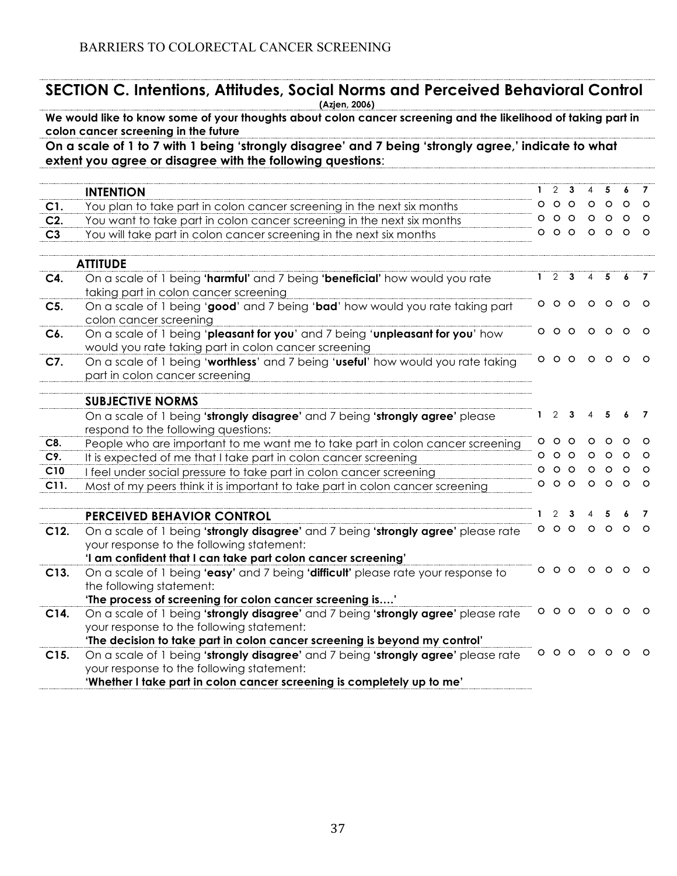|                | <b>SECTION C. Intentions, Attitudes, Social Norms and Perceived Behavioral Control</b><br>(Azjen, 2006)                                                            |              |                         |           |                |                         |            |          |
|----------------|--------------------------------------------------------------------------------------------------------------------------------------------------------------------|--------------|-------------------------|-----------|----------------|-------------------------|------------|----------|
|                | We would like to know some of your thoughts about colon cancer screening and the likelihood of taking part in<br>colon cancer screening in the future              |              |                         |           |                |                         |            |          |
|                | On a scale of 1 to 7 with 1 being 'strongly disagree' and 7 being 'strongly agree,' indicate to what<br>extent you agree or disagree with the following questions: |              |                         |           |                |                         |            |          |
|                |                                                                                                                                                                    |              |                         |           |                |                         |            |          |
|                | <b>INTENTION</b>                                                                                                                                                   | 1.           | 2 <sub>3</sub>          |           | 4              | 5                       | 6          | 7        |
| C1.            | You plan to take part in colon cancer screening in the next six months                                                                                             |              | $\circ\circ\circ$       |           | $\circ$        | $\circ$                 | $\circ$    | $\circ$  |
| $C2$ .         | You want to take part in colon cancer screening in the next six months                                                                                             |              | 000                     |           |                | $\circ$ $\circ$ $\circ$ |            | $\circ$  |
| C <sub>3</sub> | You will take part in colon cancer screening in the next six months                                                                                                |              | 000                     |           |                | 000                     |            | $\circ$  |
|                | <b>ATTITUDE</b>                                                                                                                                                    |              |                         |           |                |                         |            |          |
| C4.            | On a scale of 1 being 'harmful' and 7 being 'beneficial' how would you rate                                                                                        | $\mathbf{1}$ | 2                       | 3         | $\overline{4}$ | 5                       | 6          |          |
|                | taking part in colon cancer screening                                                                                                                              |              |                         |           |                |                         |            |          |
| $C5$ .         | On a scale of 1 being 'good' and 7 being 'bad' how would you rate taking part                                                                                      |              | 000                     |           | $\circ$        | $\circ$                 | $\circ$    | $\circ$  |
|                | colon cancer screening                                                                                                                                             |              |                         |           |                |                         |            |          |
| C6.            | On a scale of 1 being 'pleasant for you' and 7 being 'unpleasant for you' how                                                                                      |              |                         | 000000    |                |                         |            | $\circ$  |
|                | would you rate taking part in colon cancer screening                                                                                                               |              |                         |           |                |                         |            |          |
| C7.            | On a scale of 1 being 'worthless' and 7 being 'useful' how would you rate taking                                                                                   |              |                         | $0000000$ |                |                         |            | $\circ$  |
|                | part in colon cancer screening                                                                                                                                     |              |                         |           |                |                         |            |          |
|                | <b>SUBJECTIVE NORMS</b>                                                                                                                                            |              |                         |           |                |                         |            |          |
|                | On a scale of 1 being 'strongly disagree' and 7 being 'strongly agree' please                                                                                      | 1.           | 2                       | 3         |                | 5                       |            | 7        |
|                | respond to the following questions:                                                                                                                                |              |                         |           |                |                         |            |          |
| C8.            | People who are important to me want me to take part in colon cancer screening                                                                                      | O.           | $\circ$ $\circ$         |           | $\circ$        | $\circ$                 | $\circ$    | $\circ$  |
| C9.            | It is expected of me that I take part in colon cancer screening                                                                                                    |              | $\circ$ $\circ$ $\circ$ |           | $\circ$        | $\circ$                 | $\circ$    | $\circ$  |
| C10            | I feel under social pressure to take part in colon cancer screening                                                                                                |              | $\circ$ $\circ$ $\circ$ |           | $\circ$        | $O$ $O$                 |            | $\circ$  |
| C11.           | Most of my peers think it is important to take part in colon cancer screening                                                                                      |              |                         | 000000    |                |                         |            | $\circ$  |
|                |                                                                                                                                                                    |              |                         |           |                |                         |            |          |
|                | PERCEIVED BEHAVIOR CONTROL                                                                                                                                         | 1.           | 2                       | 3         |                |                         |            | 7        |
|                |                                                                                                                                                                    |              |                         | 000       | $\circ$        | $\circ$                 | $\circ$    | $\Omega$ |
| C12.           | On a scale of 1 being 'strongly disagree' and 7 being 'strongly agree' please rate                                                                                 |              |                         |           |                |                         |            |          |
|                | your response to the following statement:                                                                                                                          |              |                         |           |                |                         |            |          |
|                | 'I am confident that I can take part colon cancer screening'                                                                                                       |              | $\circ$ $\circ$         |           |                |                         |            |          |
| C13.           | On a scale of 1 being 'easy' and 7 being 'difficult' please rate your response to<br>the following statement:                                                      |              |                         |           |                |                         |            |          |
|                |                                                                                                                                                                    |              |                         |           |                |                         |            |          |
|                | 'The process of screening for colon cancer screening is'                                                                                                           |              |                         |           |                |                         | $00000000$ |          |
| C14.           | On a scale of 1 being 'strongly disagree' and 7 being 'strongly agree' please rate<br>your response to the following statement:                                    |              |                         |           |                |                         |            |          |
|                | 'The decision to take part in colon cancer screening is beyond my control'                                                                                         |              |                         |           |                |                         |            |          |
|                | On a scale of 1 being 'strongly disagree' and 7 being 'strongly agree' please rate                                                                                 |              |                         |           |                |                         | $00000000$ |          |
| C15.           | your response to the following statement:                                                                                                                          |              |                         |           |                |                         |            |          |
|                | 'Whether I take part in colon cancer screening is completely up to me'                                                                                             |              |                         |           |                |                         |            |          |
|                |                                                                                                                                                                    |              |                         |           |                |                         |            |          |